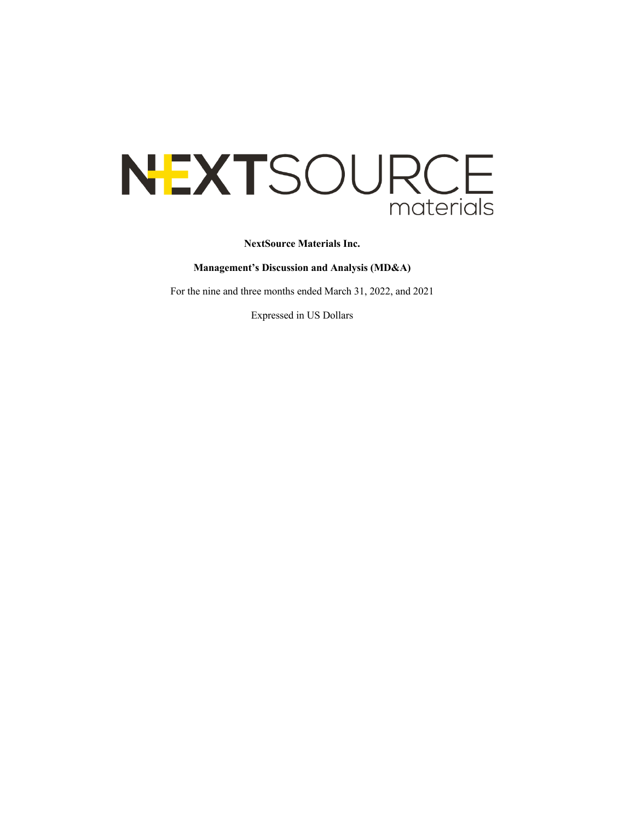# NEXTSOURCE materials

**NextSource Materials Inc.**

**Management's Discussion and Analysis (MD&A)**

For the nine and three months ended March 31, 2022, and 2021

Expressed in US Dollars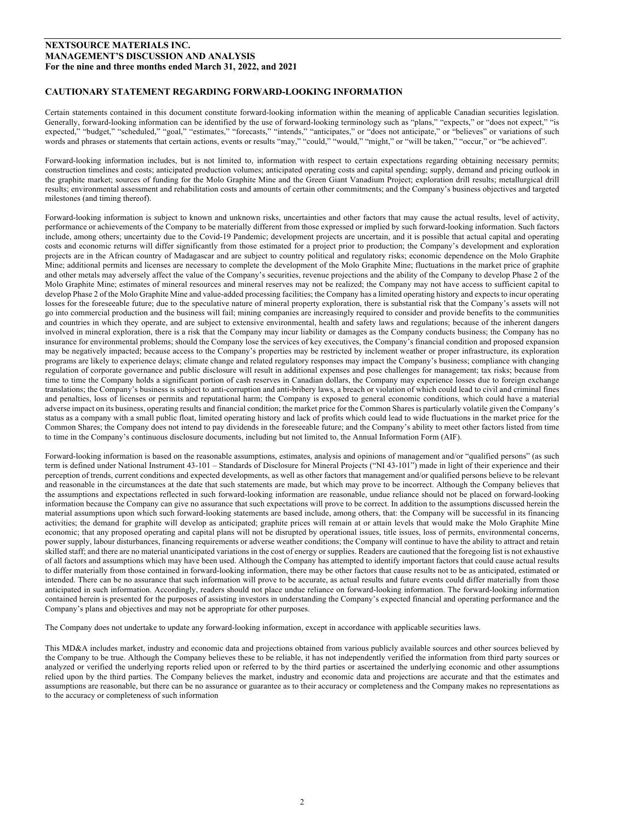# **CAUTIONARY STATEMENT REGARDING FORWARD-LOOKING INFORMATION**

Certain statements contained in this document constitute forward-looking information within the meaning of applicable Canadian securities legislation. Generally, forward-looking information can be identified by the use of forward-looking terminology such as "plans," "expects," or "does not expect," "is expected," "budget," "scheduled," "goal," "estimates," "forecasts," "intends," "anticipates," or "does not anticipate," or "believes" or variations of such words and phrases or statements that certain actions, events or results "may," "could," "would," "might," or "will be taken," "occur," or "be achieved".

Forward-looking information includes, but is not limited to, information with respect to certain expectations regarding obtaining necessary permits; construction timelines and costs; anticipated production volumes; anticipated operating costs and capital spending; supply, demand and pricing outlook in the graphite market; sources of funding for the Molo Graphite Mine and the Green Giant Vanadium Project; exploration drill results; metallurgical drill results; environmental assessment and rehabilitation costs and amounts of certain other commitments; and the Company's business objectives and targeted milestones (and timing thereof).

Forward-looking information is subject to known and unknown risks, uncertainties and other factors that may cause the actual results, level of activity, performance or achievements of the Company to be materially different from those expressed or implied by such forward-looking information. Such factors include, among others; uncertainty due to the Covid-19 Pandemic; development projects are uncertain, and it is possible that actual capital and operating costs and economic returns will differ significantly from those estimated for a project prior to production; the Company's development and exploration projects are in the African country of Madagascar and are subject to country political and regulatory risks; economic dependence on the Molo Graphite Mine; additional permits and licenses are necessary to complete the development of the Molo Graphite Mine; fluctuations in the market price of graphite and other metals may adversely affect the value of the Company's securities, revenue projections and the ability of the Company to develop Phase 2 of the Molo Graphite Mine; estimates of mineral resources and mineral reserves may not be realized; the Company may not have access to sufficient capital to develop Phase 2 of the Molo Graphite Mine and value-added processing facilities; the Company has a limited operating history and expects to incur operating losses for the foreseeable future; due to the speculative nature of mineral property exploration, there is substantial risk that the Company's assets will not go into commercial production and the business will fail; mining companies are increasingly required to consider and provide benefits to the communities and countries in which they operate, and are subject to extensive environmental, health and safety laws and regulations; because of the inherent dangers involved in mineral exploration, there is a risk that the Company may incur liability or damages as the Company conducts business; the Company has no insurance for environmental problems; should the Company lose the services of key executives, the Company's financial condition and proposed expansion may be negatively impacted; because access to the Company's properties may be restricted by inclement weather or proper infrastructure, its exploration programs are likely to experience delays; climate change and related regulatory responses may impact the Company's business; compliance with changing regulation of corporate governance and public disclosure will result in additional expenses and pose challenges for management; tax risks; because from time to time the Company holds a significant portion of cash reserves in Canadian dollars, the Company may experience losses due to foreign exchange translations; the Company's business is subject to anti-corruption and anti-bribery laws, a breach or violation of which could lead to civil and criminal fines and penalties, loss of licenses or permits and reputational harm; the Company is exposed to general economic conditions, which could have a material adverse impact on its business, operating results and financial condition; the market price for the Common Shares is particularly volatile given the Company's status as a company with a small public float, limited operating history and lack of profits which could lead to wide fluctuations in the market price for the Common Shares; the Company does not intend to pay dividends in the foreseeable future; and the Company's ability to meet other factors listed from time to time in the Company's continuous disclosure documents, including but not limited to, the Annual Information Form (AIF).

Forward-looking information is based on the reasonable assumptions, estimates, analysis and opinions of management and/or "qualified persons" (as such term is defined under National Instrument 43-101 – Standards of Disclosure for Mineral Projects ("NI 43-101") made in light of their experience and their perception of trends, current conditions and expected developments, as well as other factors that management and/or qualified persons believe to be relevant and reasonable in the circumstances at the date that such statements are made, but which may prove to be incorrect. Although the Company believes that the assumptions and expectations reflected in such forward-looking information are reasonable, undue reliance should not be placed on forward-looking information because the Company can give no assurance that such expectations will prove to be correct. In addition to the assumptions discussed herein the material assumptions upon which such forward-looking statements are based include, among others, that: the Company will be successful in its financing activities; the demand for graphite will develop as anticipated; graphite prices will remain at or attain levels that would make the Molo Graphite Mine economic; that any proposed operating and capital plans will not be disrupted by operational issues, title issues, loss of permits, environmental concerns, power supply, labour disturbances, financing requirements or adverse weather conditions; the Company will continue to have the ability to attract and retain skilled staff; and there are no material unanticipated variations in the cost of energy or supplies. Readers are cautioned that the foregoing list is not exhaustive of all factors and assumptions which may have been used. Although the Company has attempted to identify important factors that could cause actual results to differ materially from those contained in forward-looking information, there may be other factors that cause results not to be as anticipated, estimated or intended. There can be no assurance that such information will prove to be accurate, as actual results and future events could differ materially from those anticipated in such information. Accordingly, readers should not place undue reliance on forward-looking information. The forward-looking information contained herein is presented for the purposes of assisting investors in understanding the Company's expected financial and operating performance and the Company's plans and objectives and may not be appropriate for other purposes.

The Company does not undertake to update any forward-looking information, except in accordance with applicable securities laws.

This MD&A includes market, industry and economic data and projections obtained from various publicly available sources and other sources believed by the Company to be true. Although the Company believes these to be reliable, it has not independently verified the information from third party sources or analyzed or verified the underlying reports relied upon or referred to by the third parties or ascertained the underlying economic and other assumptions relied upon by the third parties. The Company believes the market, industry and economic data and projections are accurate and that the estimates and assumptions are reasonable, but there can be no assurance or guarantee as to their accuracy or completeness and the Company makes no representations as to the accuracy or completeness of such information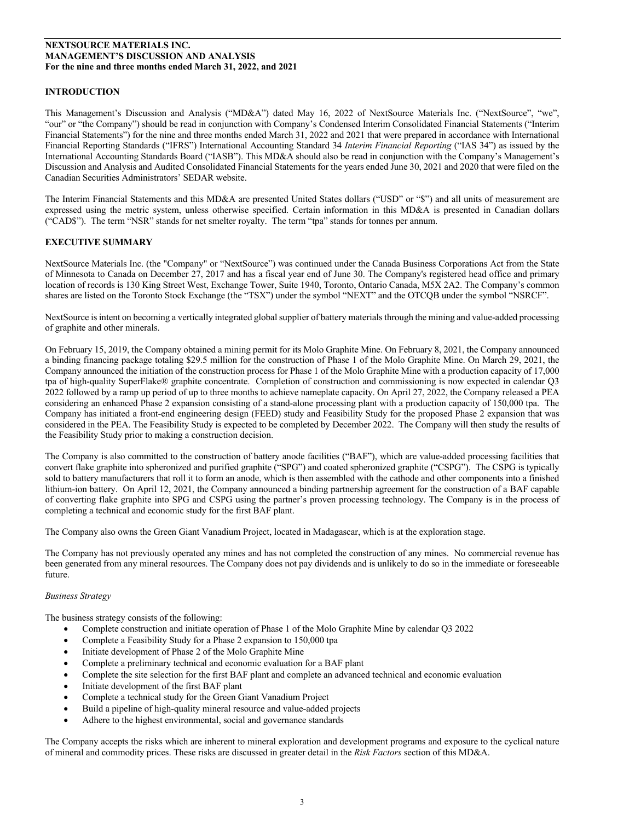# **INTRODUCTION**

This Management's Discussion and Analysis ("MD&A") dated May 16, 2022 of NextSource Materials Inc. ("NextSource", "we", "our" or "the Company") should be read in conjunction with Company's Condensed Interim Consolidated Financial Statements ("Interim Financial Statements") for the nine and three months ended March 31, 2022 and 2021 that were prepared in accordance with International Financial Reporting Standards ("IFRS") International Accounting Standard 34 *Interim Financial Reporting* ("IAS 34") as issued by the International Accounting Standards Board ("IASB"). This MD&A should also be read in conjunction with the Company's Management's Discussion and Analysis and Audited Consolidated Financial Statements for the years ended June 30, 2021 and 2020 that were filed on the Canadian Securities Administrators' SEDAR website.

The Interim Financial Statements and this MD&A are presented United States dollars ("USD" or "\$") and all units of measurement are expressed using the metric system, unless otherwise specified. Certain information in this MD&A is presented in Canadian dollars ("CAD\$"). The term "NSR" stands for net smelter royalty. The term "tpa" stands for tonnes per annum.

# **EXECUTIVE SUMMARY**

NextSource Materials Inc. (the "Company" or "NextSource") was continued under the Canada Business Corporations Act from the State of Minnesota to Canada on December 27, 2017 and has a fiscal year end of June 30. The Company's registered head office and primary location of records is 130 King Street West, Exchange Tower, Suite 1940, Toronto, Ontario Canada, M5X 2A2. The Company's common shares are listed on the Toronto Stock Exchange (the "TSX") under the symbol "NEXT" and the OTCQB under the symbol "NSRCF".

NextSource is intent on becoming a vertically integrated global supplier of battery materialsthrough the mining and value-added processing of graphite and other minerals.

On February 15, 2019, the Company obtained a mining permit for its Molo Graphite Mine. On February 8, 2021, the Company announced a binding financing package totaling \$29.5 million for the construction of Phase 1 of the Molo Graphite Mine. On March 29, 2021, the Company announced the initiation of the construction process for Phase 1 of the Molo Graphite Mine with a production capacity of 17,000 tpa of high-quality SuperFlake® graphite concentrate. Completion of construction and commissioning is now expected in calendar Q3 2022 followed by a ramp up period of up to three months to achieve nameplate capacity. On April 27, 2022, the Company released a PEA considering an enhanced Phase 2 expansion consisting of a stand-alone processing plant with a production capacity of 150,000 tpa. The Company has initiated a front-end engineering design (FEED) study and Feasibility Study for the proposed Phase 2 expansion that was considered in the PEA. The Feasibility Study is expected to be completed by December 2022. The Company will then study the results of the Feasibility Study prior to making a construction decision.

The Company is also committed to the construction of battery anode facilities ("BAF"), which are value-added processing facilities that convert flake graphite into spheronized and purified graphite ("SPG") and coated spheronized graphite ("CSPG"). The CSPG is typically sold to battery manufacturers that roll it to form an anode, which is then assembled with the cathode and other components into a finished lithium-ion battery. On April 12, 2021, the Company announced a binding partnership agreement for the construction of a BAF capable of converting flake graphite into SPG and CSPG using the partner's proven processing technology. The Company is in the process of completing a technical and economic study for the first BAF plant.

The Company also owns the Green Giant Vanadium Project, located in Madagascar, which is at the exploration stage.

The Company has not previously operated any mines and has not completed the construction of any mines. No commercial revenue has been generated from any mineral resources. The Company does not pay dividends and is unlikely to do so in the immediate or foreseeable future.

# *Business Strategy*

The business strategy consists of the following:

- Complete construction and initiate operation of Phase 1 of the Molo Graphite Mine by calendar Q3 2022
- Complete a Feasibility Study for a Phase 2 expansion to 150,000 tpa
- Initiate development of Phase 2 of the Molo Graphite Mine
- Complete a preliminary technical and economic evaluation for a BAF plant
- Complete the site selection for the first BAF plant and complete an advanced technical and economic evaluation
- Initiate development of the first BAF plant
- Complete a technical study for the Green Giant Vanadium Project
- Build a pipeline of high-quality mineral resource and value-added projects
- Adhere to the highest environmental, social and governance standards

The Company accepts the risks which are inherent to mineral exploration and development programs and exposure to the cyclical nature of mineral and commodity prices. These risks are discussed in greater detail in the *Risk Factors* section of this MD&A.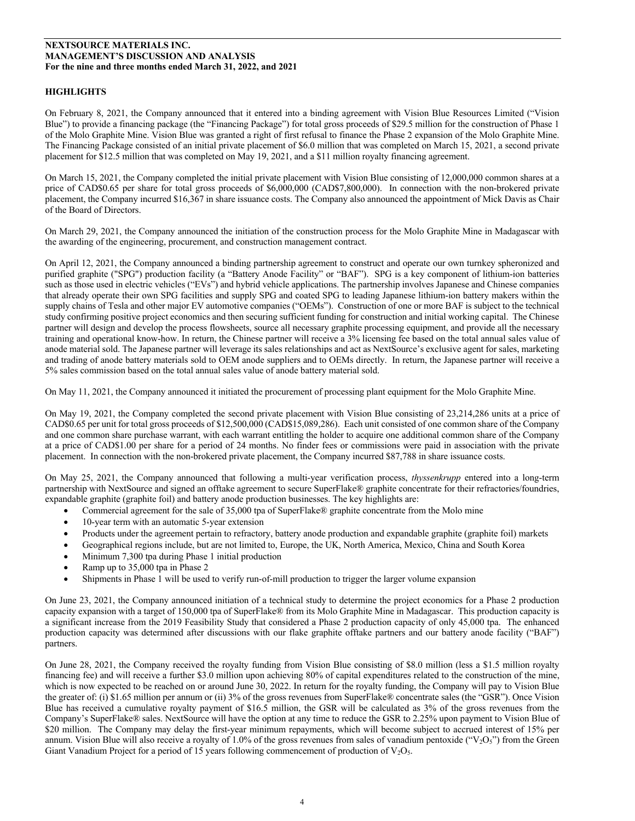# **HIGHLIGHTS**

On February 8, 2021, the Company announced that it entered into a binding agreement with Vision Blue Resources Limited ("Vision Blue") to provide a financing package (the "Financing Package") for total gross proceeds of \$29.5 million for the construction of Phase 1 of the Molo Graphite Mine. Vision Blue was granted a right of first refusal to finance the Phase 2 expansion of the Molo Graphite Mine. The Financing Package consisted of an initial private placement of \$6.0 million that was completed on March 15, 2021, a second private placement for \$12.5 million that was completed on May 19, 2021, and a \$11 million royalty financing agreement.

On March 15, 2021, the Company completed the initial private placement with Vision Blue consisting of 12,000,000 common shares at a price of CAD\$0.65 per share for total gross proceeds of \$6,000,000 (CAD\$7,800,000). In connection with the non-brokered private placement, the Company incurred \$16,367 in share issuance costs. The Company also announced the appointment of Mick Davis as Chair of the Board of Directors.

On March 29, 2021, the Company announced the initiation of the construction process for the Molo Graphite Mine in Madagascar with the awarding of the engineering, procurement, and construction management contract.

On April 12, 2021, the Company announced a binding partnership agreement to construct and operate our own turnkey spheronized and purified graphite ("SPG") production facility (a "Battery Anode Facility" or "BAF"). SPG is a key component of lithium-ion batteries such as those used in electric vehicles ("EVs") and hybrid vehicle applications. The partnership involves Japanese and Chinese companies that already operate their own SPG facilities and supply SPG and coated SPG to leading Japanese lithium-ion battery makers within the supply chains of Tesla and other major EV automotive companies ("OEMs"). Construction of one or more BAF is subject to the technical study confirming positive project economics and then securing sufficient funding for construction and initial working capital. The Chinese partner will design and develop the process flowsheets, source all necessary graphite processing equipment, and provide all the necessary training and operational know-how. In return, the Chinese partner will receive a 3% licensing fee based on the total annual sales value of anode material sold. The Japanese partner will leverage its sales relationships and act as NextSource's exclusive agent for sales, marketing and trading of anode battery materials sold to OEM anode suppliers and to OEMs directly. In return, the Japanese partner will receive a 5% sales commission based on the total annual sales value of anode battery material sold.

On May 11, 2021, the Company announced it initiated the procurement of processing plant equipment for the Molo Graphite Mine.

On May 19, 2021, the Company completed the second private placement with Vision Blue consisting of 23,214,286 units at a price of CAD\$0.65 per unit for total gross proceeds of \$12,500,000 (CAD\$15,089,286). Each unit consisted of one common share of the Company and one common share purchase warrant, with each warrant entitling the holder to acquire one additional common share of the Company at a price of CAD\$1.00 per share for a period of 24 months. No finder fees or commissions were paid in association with the private placement. In connection with the non-brokered private placement, the Company incurred \$87,788 in share issuance costs.

On May 25, 2021, the Company announced that following a multi-year verification process, *thyssenkrupp* entered into a long-term partnership with NextSource and signed an offtake agreement to secure SuperFlake® graphite concentrate for their refractories/foundries, expandable graphite (graphite foil) and battery anode production businesses. The key highlights are:

- Commercial agreement for the sale of 35,000 tpa of SuperFlake® graphite concentrate from the Molo mine
- 10-year term with an automatic 5-year extension
- Products under the agreement pertain to refractory, battery anode production and expandable graphite (graphite foil) markets
- Geographical regions include, but are not limited to, Europe, the UK, North America, Mexico, China and South Korea
- Minimum 7,300 tpa during Phase 1 initial production
- Ramp up to 35,000 tpa in Phase 2
- Shipments in Phase 1 will be used to verify run-of-mill production to trigger the larger volume expansion

On June 23, 2021, the Company announced initiation of a technical study to determine the project economics for a Phase 2 production capacity expansion with a target of 150,000 tpa of SuperFlake® from its Molo Graphite Mine in Madagascar. This production capacity is a significant increase from the 2019 Feasibility Study that considered a Phase 2 production capacity of only 45,000 tpa. The enhanced production capacity was determined after discussions with our flake graphite offtake partners and our battery anode facility ("BAF") partners.

On June 28, 2021, the Company received the royalty funding from Vision Blue consisting of \$8.0 million (less a \$1.5 million royalty financing fee) and will receive a further \$3.0 million upon achieving 80% of capital expenditures related to the construction of the mine, which is now expected to be reached on or around June 30, 2022. In return for the royalty funding, the Company will pay to Vision Blue the greater of: (i) \$1.65 million per annum or (ii) 3% of the gross revenues from SuperFlake® concentrate sales (the "GSR"). Once Vision Blue has received a cumulative royalty payment of \$16.5 million, the GSR will be calculated as 3% of the gross revenues from the Company's SuperFlake® sales. NextSource will have the option at any time to reduce the GSR to 2.25% upon payment to Vision Blue of \$20 million. The Company may delay the first-year minimum repayments, which will become subject to accrued interest of 15% per annum. Vision Blue will also receive a royalty of 1.0% of the gross revenues from sales of vanadium pentoxide (" $V_2O_5$ ") from the Green Giant Vanadium Project for a period of 15 years following commencement of production of  $V_2O_5$ .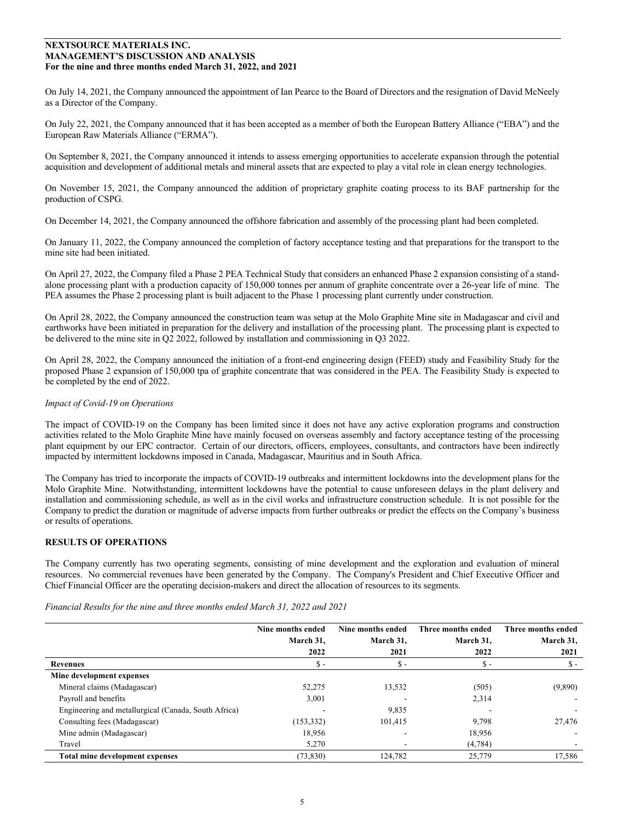On July 14, 2021, the Company announced the appointment of Ian Pearce to the Board of Directors and the resignation of David McNeely as a Director of the Company.

On July 22, 2021, the Company announced that it has been accepted as a member of both the European Battery Alliance ("EBA") and the European Raw Materials Alliance ("ERMA").

On September 8, 2021, the Company announced it intends to assess emerging opportunities to accelerate expansion through the potential acquisition and development of additional metals and mineral assets that are expected to play a vital role in clean energy technologies.

On November 15, 2021, the Company announced the addition of proprietary graphite coating process to its BAF partnership for the production of CSPG.

On December 14, 2021, the Company announced the offshore fabrication and assembly of the processing plant had been completed.

On January 11, 2022, the Company announced the completion of factory acceptance testing and that preparations for the transport to the mine site had been initiated.

On April 27, 2022, the Company filed a Phase 2 PEA Technical Study that considers an enhanced Phase 2 expansion consisting of a standalone processing plant with a production capacity of 150,000 tonnes per annum of graphite concentrate over a 26-year life of mine. The PEA assumes the Phase 2 processing plant is built adjacent to the Phase 1 processing plant currently under construction.

On April 28, 2022, the Company announced the construction team was setup at the Molo Graphite Mine site in Madagascar and civil and earthworks have been initiated in preparation for the delivery and installation of the processing plant. The processing plant is expected to be delivered to the mine site in Q2 2022, followed by installation and commissioning in Q3 2022.

On April 28, 2022, the Company announced the initiation of a front-end engineering design (FEED) study and Feasibility Study for the proposed Phase 2 expansion of 150,000 tpa of graphite concentrate that was considered in the PEA. The Feasibility Study is expected to be completed by the end of 2022.

## *Impact of Covid-19 on Operations*

The impact of COVID-19 on the Company has been limited since it does not have any active exploration programs and construction activities related to the Molo Graphite Mine have mainly focused on overseas assembly and factory acceptance testing of the processing plant equipment by our EPC contractor. Certain of our directors, officers, employees, consultants, and contractors have been indirectly impacted by intermittent lockdowns imposed in Canada, Madagascar, Mauritius and in South Africa.

The Company has tried to incorporate the impacts of COVID-19 outbreaks and intermittent lockdowns into the development plans for the Molo Graphite Mine. Notwithstanding, intermittent lockdowns have the potential to cause unforeseen delays in the plant delivery and installation and commissioning schedule, as well as in the civil works and infrastructure construction schedule. It is not possible for the Company to predict the duration or magnitude of adverse impacts from further outbreaks or predict the effects on the Company's business or results of operations.

# **RESULTS OF OPERATIONS**

The Company currently has two operating segments, consisting of mine development and the exploration and evaluation of mineral resources. No commercial revenues have been generated by the Company. The Company's President and Chief Executive Officer and Chief Financial Officer are the operating decision-makers and direct the allocation of resources to its segments.

|                                                      | Nine months ended | Nine months ended | Three months ended | Three months ended       |
|------------------------------------------------------|-------------------|-------------------|--------------------|--------------------------|
|                                                      | March 31,         | March 31,         | March 31.          | March 31,                |
|                                                      | 2022              | 2021              | 2022               | 2021                     |
| Revenues                                             | $\mathbb{S}$ -    | $\mathsf{s}$ -    | \$ -               | $\mathbb{S}$ -           |
| Mine development expenses                            |                   |                   |                    |                          |
| Mineral claims (Madagascar)                          | 52,275            | 13,532            | (505)              | (9,890)                  |
| Payroll and benefits                                 | 3,001             |                   | 2,314              | $\overline{\phantom{a}}$ |
| Engineering and metallurgical (Canada, South Africa) |                   | 9,835             |                    |                          |
| Consulting fees (Madagascar)                         | (153, 332)        | 101,415           | 9,798              | 27,476                   |
| Mine admin (Madagascar)                              | 18,956            |                   | 18,956             |                          |
| Travel                                               | 5.270             |                   | (4,784)            |                          |
| Total mine development expenses                      | (73, 830)         | 124,782           | 25,779             | 17,586                   |

*Financial Results for the nine and three months ended March 31, 2022 and 2021*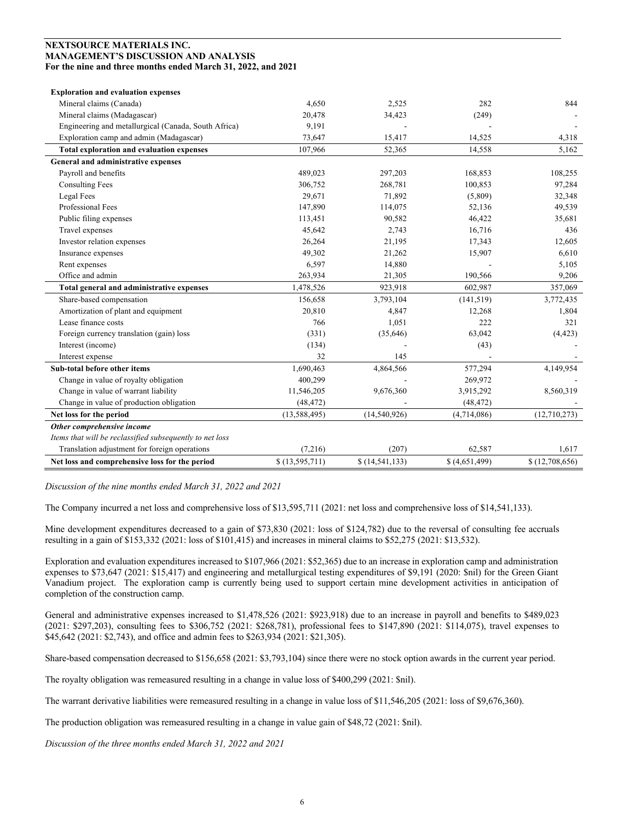| <b>Exploration and evaluation expenses</b>               |                |                  |               |                |
|----------------------------------------------------------|----------------|------------------|---------------|----------------|
| Mineral claims (Canada)                                  | 4,650          | 2,525            | 282           | 844            |
| Mineral claims (Madagascar)                              | 20,478         | 34,423           | (249)         |                |
| Engineering and metallurgical (Canada, South Africa)     | 9,191          |                  |               |                |
| Exploration camp and admin (Madagascar)                  | 73,647         | 15,417           | 14,525        | 4,318          |
| <b>Total exploration and evaluation expenses</b>         | 107,966        | 52,365           | 14,558        | 5,162          |
| General and administrative expenses                      |                |                  |               |                |
| Payroll and benefits                                     | 489,023        | 297,203          | 168,853       | 108,255        |
| <b>Consulting Fees</b>                                   | 306,752        | 268,781          | 100,853       | 97,284         |
| Legal Fees                                               | 29,671         | 71,892           | (5,809)       | 32,348         |
| Professional Fees                                        | 147,890        | 114,075          | 52,136        | 49,539         |
| Public filing expenses                                   | 113,451        | 90,582           | 46,422        | 35,681         |
| Travel expenses                                          | 45,642         | 2,743            | 16,716        | 436            |
| Investor relation expenses                               | 26,264         | 21,195           | 17,343        | 12,605         |
| Insurance expenses                                       | 49,302         | 21,262           | 15,907        | 6,610          |
| Rent expenses                                            | 6,597          | 14,880           |               | 5,105          |
| Office and admin                                         | 263,934        | 21,305           | 190,566       | 9,206          |
| Total general and administrative expenses                | 1,478,526      | 923,918          | 602,987       | 357,069        |
| Share-based compensation                                 | 156,658        | 3,793,104        | (141, 519)    | 3,772,435      |
| Amortization of plant and equipment                      | 20,810         | 4,847            | 12,268        | 1,804          |
| Lease finance costs                                      | 766            | 1,051            | 222           | 321            |
| Foreign currency translation (gain) loss                 | (331)          | (35, 646)        | 63,042        | (4, 423)       |
| Interest (income)                                        | (134)          |                  | (43)          |                |
| Interest expense                                         | 32             | 145              |               |                |
| Sub-total before other items                             | 1,690,463      | 4,864,566        | 577,294       | 4,149,954      |
| Change in value of royalty obligation                    | 400,299        |                  | 269,972       |                |
| Change in value of warrant liability                     | 11,546,205     | 9,676,360        | 3,915,292     | 8,560,319      |
| Change in value of production obligation                 | (48, 472)      |                  | (48, 472)     |                |
| Net loss for the period                                  | (13, 588, 495) | (14,540,926)     | (4,714,086)   | (12,710,273)   |
| Other comprehensive income                               |                |                  |               |                |
| Items that will be reclassified subsequently to net loss |                |                  |               |                |
| Translation adjustment for foreign operations            | (7,216)        | (207)            | 62,587        | 1,617          |
| Net loss and comprehensive loss for the period           | \$(13,595,711) | \$(14, 541, 133) | \$(4,651,499) | \$(12,708,656) |

*Discussion of the nine months ended March 31, 2022 and 2021*

The Company incurred a net loss and comprehensive loss of \$13,595,711 (2021: net loss and comprehensive loss of \$14,541,133).

Mine development expenditures decreased to a gain of \$73,830 (2021: loss of \$124,782) due to the reversal of consulting fee accruals resulting in a gain of \$153,332 (2021: loss of \$101,415) and increases in mineral claims to \$52,275 (2021: \$13,532).

Exploration and evaluation expenditures increased to \$107,966 (2021: \$52,365) due to an increase in exploration camp and administration expenses to \$73,647 (2021: \$15,417) and engineering and metallurgical testing expenditures of \$9,191 (2020: \$nil) for the Green Giant Vanadium project. The exploration camp is currently being used to support certain mine development activities in anticipation of completion of the construction camp.

General and administrative expenses increased to \$1,478,526 (2021: \$923,918) due to an increase in payroll and benefits to \$489,023 (2021: \$297,203), consulting fees to \$306,752 (2021: \$268,781), professional fees to \$147,890 (2021: \$114,075), travel expenses to \$45,642 (2021: \$2,743), and office and admin fees to \$263,934 (2021: \$21,305).

Share-based compensation decreased to \$156,658 (2021: \$3,793,104) since there were no stock option awards in the current year period.

The royalty obligation was remeasured resulting in a change in value loss of \$400,299 (2021: \$nil).

The warrant derivative liabilities were remeasured resulting in a change in value loss of \$11,546,205 (2021: loss of \$9,676,360).

The production obligation was remeasured resulting in a change in value gain of \$48,72 (2021: \$nil).

*Discussion of the three months ended March 31, 2022 and 2021*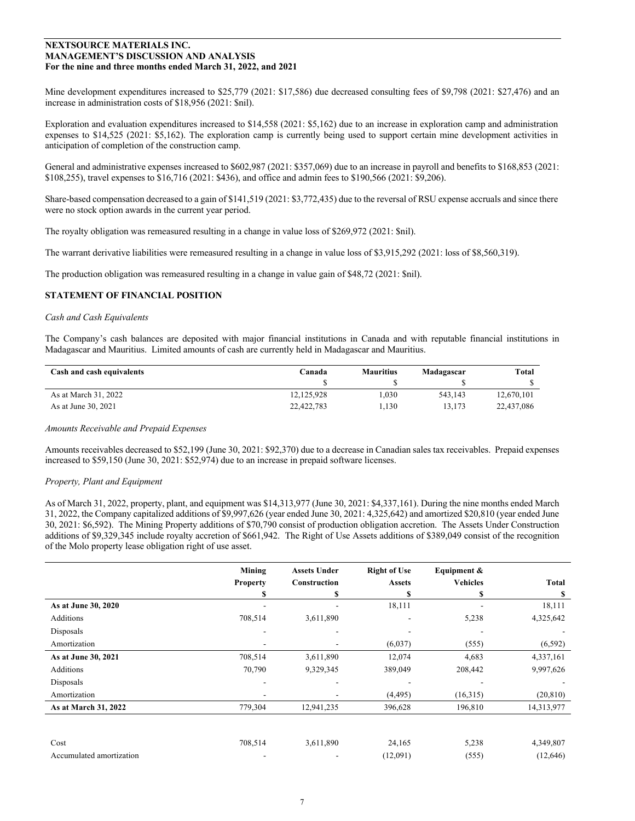Mine development expenditures increased to \$25,779 (2021: \$17,586) due decreased consulting fees of \$9,798 (2021: \$27,476) and an increase in administration costs of \$18,956 (2021: \$nil).

Exploration and evaluation expenditures increased to \$14,558 (2021: \$5,162) due to an increase in exploration camp and administration expenses to \$14,525 (2021: \$5,162). The exploration camp is currently being used to support certain mine development activities in anticipation of completion of the construction camp.

General and administrative expenses increased to \$602,987 (2021: \$357,069) due to an increase in payroll and benefits to \$168,853 (2021: \$108,255), travel expenses to \$16,716 (2021: \$436), and office and admin fees to \$190,566 (2021: \$9,206).

Share-based compensation decreased to a gain of \$141,519 (2021: \$3,772,435) due to the reversal of RSU expense accruals and since there were no stock option awards in the current year period.

The royalty obligation was remeasured resulting in a change in value loss of \$269,972 (2021: \$nil).

The warrant derivative liabilities were remeasured resulting in a change in value loss of \$3,915,292 (2021: loss of \$8,560,319).

The production obligation was remeasured resulting in a change in value gain of \$48,72 (2021: \$nil).

## **STATEMENT OF FINANCIAL POSITION**

#### *Cash and Cash Equivalents*

The Company's cash balances are deposited with major financial institutions in Canada and with reputable financial institutions in Madagascar and Mauritius. Limited amounts of cash are currently held in Madagascar and Mauritius.

| Cash and cash equivalents | Canada     | <b>Mauritius</b> | Madagascar | Total      |
|---------------------------|------------|------------------|------------|------------|
|                           |            |                  |            |            |
| As at March 31, 2022      | 12.125.928 | 1.030            | 543.143    | 12.670.101 |
| As at June 30, 2021       | 22,422,783 | 1.130            | 13.173     | 22,437,086 |

#### *Amounts Receivable and Prepaid Expenses*

Amounts receivables decreased to \$52,199 (June 30, 2021: \$92,370) due to a decrease in Canadian sales tax receivables. Prepaid expenses increased to \$59,150 (June 30, 2021: \$52,974) due to an increase in prepaid software licenses.

#### *Property, Plant and Equipment*

As of March 31, 2022, property, plant, and equipment was \$14,313,977 (June 30, 2021: \$4,337,161). During the nine months ended March 31, 2022, the Company capitalized additions of \$9,997,626 (year ended June 30, 2021: 4,325,642) and amortized \$20,810 (year ended June 30, 2021: \$6,592). The Mining Property additions of \$70,790 consist of production obligation accretion. The Assets Under Construction additions of \$9,329,345 include royalty accretion of \$661,942. The Right of Use Assets additions of \$389,049 consist of the recognition of the Molo property lease obligation right of use asset.

|                          | Mining          | <b>Assets Under</b> | <b>Right of Use</b> | Equipment &     |              |
|--------------------------|-----------------|---------------------|---------------------|-----------------|--------------|
|                          | <b>Property</b> | Construction        | <b>Assets</b>       | <b>Vehicles</b> | <b>Total</b> |
|                          |                 | S                   |                     | S               | S            |
| As at June 30, 2020      |                 |                     | 18,111              |                 | 18,111       |
| Additions                | 708,514         | 3,611,890           |                     | 5,238           | 4,325,642    |
| Disposals                | ۰               | $\blacksquare$      |                     |                 |              |
| Amortization             |                 |                     | (6,037)             | (555)           | (6, 592)     |
| As at June 30, 2021      | 708,514         | 3,611,890           | 12,074              | 4,683           | 4,337,161    |
| Additions                | 70,790          | 9,329,345           | 389,049             | 208,442         | 9,997,626    |
| Disposals                |                 |                     |                     |                 |              |
| Amortization             | ۰               |                     | (4, 495)            | (16,315)        | (20, 810)    |
| As at March 31, 2022     | 779,304         | 12,941,235          | 396,628             | 196,810         | 14,313,977   |
|                          |                 |                     |                     |                 |              |
|                          |                 |                     |                     |                 |              |
| Cost                     | 708,514         | 3,611,890           | 24,165              | 5,238           | 4,349,807    |
| Accumulated amortization |                 |                     | (12,091)            | (555)           | (12,646)     |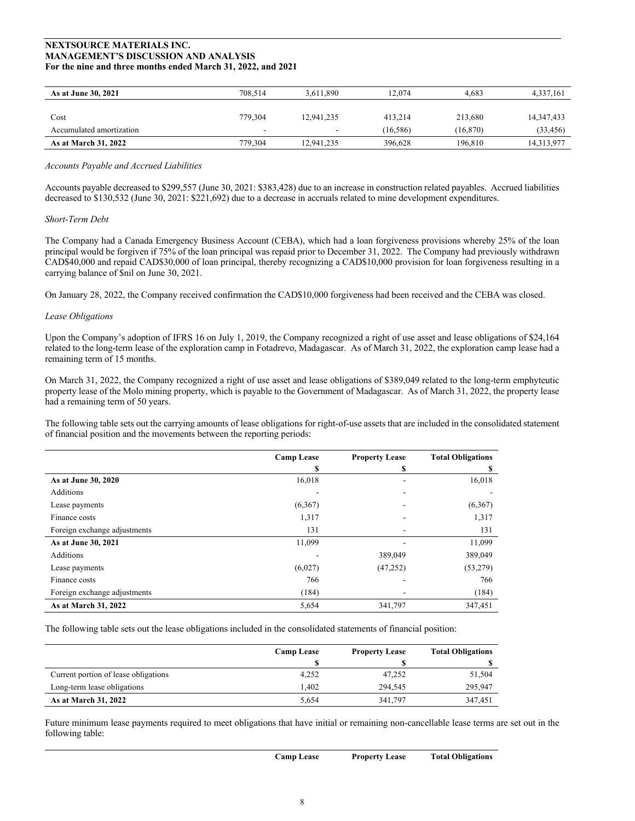| As at June 30, 2021         | 708.514 | 3.611.890                | 12.074    | 4.683     | 4,337,161    |
|-----------------------------|---------|--------------------------|-----------|-----------|--------------|
|                             |         |                          |           |           |              |
| Cost                        | 779,304 | 12.941.235               | 413.214   | 213,680   | 14, 347, 433 |
| Accumulated amortization    |         | $\overline{\phantom{a}}$ | (16, 586) | (16, 870) | (33, 456)    |
| <b>As at March 31, 2022</b> | 779,304 | 12,941,235               | 396,628   | 196,810   | 14,313,977   |

## *Accounts Payable and Accrued Liabilities*

Accounts payable decreased to \$299,557 (June 30, 2021: \$383,428) due to an increase in construction related payables. Accrued liabilities decreased to \$130,532 (June 30, 2021: \$221,692) due to a decrease in accruals related to mine development expenditures.

## *Short-Term Debt*

The Company had a Canada Emergency Business Account (CEBA), which had a loan forgiveness provisions whereby 25% of the loan principal would be forgiven if 75% of the loan principal was repaid prior to December 31, 2022. The Company had previously withdrawn CAD\$40,000 and repaid CAD\$30,000 of loan principal, thereby recognizing a CAD\$10,000 provision for loan forgiveness resulting in a carrying balance of \$nil on June 30, 2021.

On January 28, 2022, the Company received confirmation the CAD\$10,000 forgiveness had been received and the CEBA was closed.

#### *Lease Obligations*

Upon the Company's adoption of IFRS 16 on July 1, 2019, the Company recognized a right of use asset and lease obligations of \$24,164 related to the long-term lease of the exploration camp in Fotadrevo, Madagascar. As of March 31, 2022, the exploration camp lease had a remaining term of 15 months.

On March 31, 2022, the Company recognized a right of use asset and lease obligations of \$389,049 related to the long-term emphyteutic property lease of the Molo mining property, which is payable to the Government of Madagascar. As of March 31, 2022, the property lease had a remaining term of 50 years.

The following table sets out the carrying amounts of lease obligations for right-of-use assets that are included in the consolidated statement of financial position and the movements between the reporting periods:

|                              | <b>Camp Lease</b> | <b>Property Lease</b> | <b>Total Obligations</b> |
|------------------------------|-------------------|-----------------------|--------------------------|
|                              | \$                | \$                    | \$                       |
| As at June 30, 2020          | 16,018            | -                     | 16,018                   |
| Additions                    |                   |                       |                          |
| Lease payments               | (6,367)           |                       | (6,367)                  |
| Finance costs                | 1,317             |                       | 1,317                    |
| Foreign exchange adjustments | 131               |                       | 131                      |
| As at June 30, 2021          | 11,099            |                       | 11,099                   |
| Additions                    |                   | 389,049               | 389,049                  |
| Lease payments               | (6,027)           | (47, 252)             | (53, 279)                |
| Finance costs                | 766               |                       | 766                      |
| Foreign exchange adjustments | (184)             |                       | (184)                    |
| As at March 31, 2022         | 5,654             | 341,797               | 347,451                  |

The following table sets out the lease obligations included in the consolidated statements of financial position:

|                                      | <b>Camp Lease</b> | <b>Property Lease</b> | <b>Total Obligations</b> |
|--------------------------------------|-------------------|-----------------------|--------------------------|
|                                      |                   |                       |                          |
| Current portion of lease obligations | 4,252             | 47,252                | 51,504                   |
| Long-term lease obligations          | 1.402             | 294.545               | 295,947                  |
| As at March 31, 2022                 | 5.654             | 341,797               | 347,451                  |

Future minimum lease payments required to meet obligations that have initial or remaining non-cancellable lease terms are set out in the following table: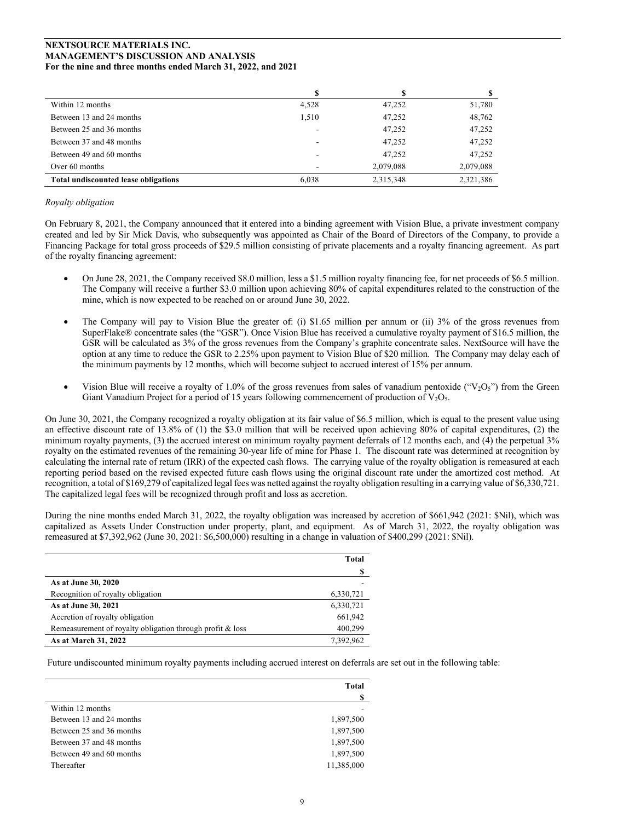| Within 12 months                     | 4,528 | 47,252    | 51,780    |
|--------------------------------------|-------|-----------|-----------|
| Between 13 and 24 months             | 1.510 | 47,252    | 48,762    |
| Between 25 and 36 months             |       | 47,252    | 47,252    |
| Between 37 and 48 months             |       | 47,252    | 47,252    |
| Between 49 and 60 months             |       | 47.252    | 47,252    |
| Over 60 months                       |       | 2,079,088 | 2,079,088 |
| Total undiscounted lease obligations | 6.038 | 2,315,348 | 2,321,386 |

## *Royalty obligation*

On February 8, 2021, the Company announced that it entered into a binding agreement with Vision Blue, a private investment company created and led by Sir Mick Davis, who subsequently was appointed as Chair of the Board of Directors of the Company, to provide a Financing Package for total gross proceeds of \$29.5 million consisting of private placements and a royalty financing agreement. As part of the royalty financing agreement:

- On June 28, 2021, the Company received \$8.0 million, less a \$1.5 million royalty financing fee, for net proceeds of \$6.5 million. The Company will receive a further \$3.0 million upon achieving 80% of capital expenditures related to the construction of the mine, which is now expected to be reached on or around June 30, 2022.
- The Company will pay to Vision Blue the greater of: (i) \$1.65 million per annum or (ii) 3% of the gross revenues from SuperFlake® concentrate sales (the "GSR"). Once Vision Blue has received a cumulative royalty payment of \$16.5 million, the GSR will be calculated as 3% of the gross revenues from the Company's graphite concentrate sales. NextSource will have the option at any time to reduce the GSR to 2.25% upon payment to Vision Blue of \$20 million. The Company may delay each of the minimum payments by 12 months, which will become subject to accrued interest of 15% per annum.
- Vision Blue will receive a royalty of 1.0% of the gross revenues from sales of vanadium pentoxide (" $V_2O_5$ ") from the Green Giant Vanadium Project for a period of 15 years following commencement of production of  $V_2O_5$ .

On June 30, 2021, the Company recognized a royalty obligation at its fair value of \$6.5 million, which is equal to the present value using an effective discount rate of 13.8% of (1) the \$3.0 million that will be received upon achieving 80% of capital expenditures, (2) the minimum royalty payments, (3) the accrued interest on minimum royalty payment deferrals of 12 months each, and (4) the perpetual 3% royalty on the estimated revenues of the remaining 30-year life of mine for Phase 1. The discount rate was determined at recognition by calculating the internal rate of return (IRR) of the expected cash flows. The carrying value of the royalty obligation is remeasured at each reporting period based on the revised expected future cash flows using the original discount rate under the amortized cost method. At recognition, a total of \$169,279 of capitalized legal fees was netted against the royalty obligation resulting in a carrying value of \$6,330,721. The capitalized legal fees will be recognized through profit and loss as accretion.

During the nine months ended March 31, 2022, the royalty obligation was increased by accretion of \$661,942 (2021: \$Nil), which was capitalized as Assets Under Construction under property, plant, and equipment. As of March 31, 2022, the royalty obligation was remeasured at \$7,392,962 (June 30, 2021: \$6,500,000) resulting in a change in valuation of \$400,299 (2021: \$Nil).

|                                                           | Total     |
|-----------------------------------------------------------|-----------|
|                                                           |           |
| As at June 30, 2020                                       |           |
| Recognition of royalty obligation                         | 6,330,721 |
| As at June 30, 2021                                       | 6,330,721 |
| Accretion of royalty obligation                           | 661,942   |
| Remeasurement of royalty obligation through profit & loss | 400,299   |
| As at March 31, 2022                                      | 7,392,962 |

Future undiscounted minimum royalty payments including accrued interest on deferrals are set out in the following table:

|                          | Total      |
|--------------------------|------------|
|                          | S          |
| Within 12 months         |            |
| Between 13 and 24 months | 1,897,500  |
| Between 25 and 36 months | 1,897,500  |
| Between 37 and 48 months | 1,897,500  |
| Between 49 and 60 months | 1,897,500  |
| Thereafter               | 11,385,000 |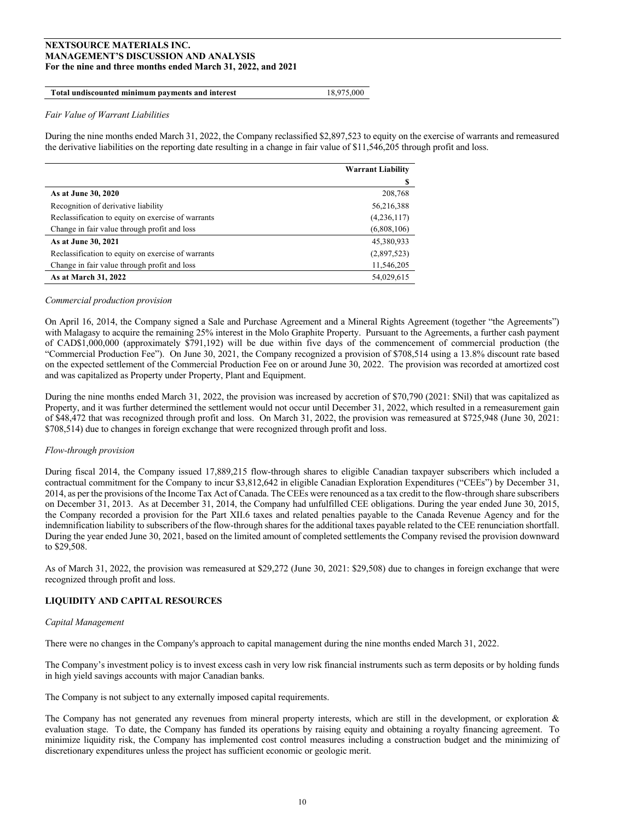#### **Total undiscounted minimum payments and interest** 18,975,000

#### *Fair Value of Warrant Liabilities*

During the nine months ended March 31, 2022, the Company reclassified \$2,897,523 to equity on the exercise of warrants and remeasured the derivative liabilities on the reporting date resulting in a change in fair value of \$11,546,205 through profit and loss.

|                                                    | <b>Warrant Liability</b> |
|----------------------------------------------------|--------------------------|
|                                                    |                          |
| As at June 30, 2020                                | 208,768                  |
| Recognition of derivative liability                | 56,216,388               |
| Reclassification to equity on exercise of warrants | (4,236,117)              |
| Change in fair value through profit and loss       | (6,808,106)              |
| As at June 30, 2021                                | 45,380,933               |
| Reclassification to equity on exercise of warrants | (2,897,523)              |
| Change in fair value through profit and loss       | 11,546,205               |
| As at March 31, 2022                               | 54,029,615               |

#### *Commercial production provision*

On April 16, 2014, the Company signed a Sale and Purchase Agreement and a Mineral Rights Agreement (together "the Agreements") with Malagasy to acquire the remaining 25% interest in the Molo Graphite Property. Pursuant to the Agreements, a further cash payment of CAD\$1,000,000 (approximately \$791,192) will be due within five days of the commencement of commercial production (the "Commercial Production Fee"). On June 30, 2021, the Company recognized a provision of \$708,514 using a 13.8% discount rate based on the expected settlement of the Commercial Production Fee on or around June 30, 2022. The provision was recorded at amortized cost and was capitalized as Property under Property, Plant and Equipment.

During the nine months ended March 31, 2022, the provision was increased by accretion of \$70,790 (2021: \$Nil) that was capitalized as Property, and it was further determined the settlement would not occur until December 31, 2022, which resulted in a remeasurement gain of \$48,472 that was recognized through profit and loss. On March 31, 2022, the provision was remeasured at \$725,948 (June 30, 2021: \$708,514) due to changes in foreign exchange that were recognized through profit and loss.

#### *Flow-through provision*

During fiscal 2014, the Company issued 17,889,215 flow-through shares to eligible Canadian taxpayer subscribers which included a contractual commitment for the Company to incur \$3,812,642 in eligible Canadian Exploration Expenditures ("CEEs") by December 31, 2014, as per the provisions of the Income Tax Act of Canada. The CEEs were renounced as a tax credit to the flow-through share subscribers on December 31, 2013. As at December 31, 2014, the Company had unfulfilled CEE obligations. During the year ended June 30, 2015, the Company recorded a provision for the Part XII.6 taxes and related penalties payable to the Canada Revenue Agency and for the indemnification liability to subscribers of the flow-through shares for the additional taxes payable related to the CEE renunciation shortfall. During the year ended June 30, 2021, based on the limited amount of completed settlements the Company revised the provision downward to \$29,508.

As of March 31, 2022, the provision was remeasured at \$29,272 (June 30, 2021: \$29,508) due to changes in foreign exchange that were recognized through profit and loss.

# **LIQUIDITY AND CAPITAL RESOURCES**

#### *Capital Management*

There were no changes in the Company's approach to capital management during the nine months ended March 31, 2022.

The Company's investment policy is to invest excess cash in very low risk financial instruments such as term deposits or by holding funds in high yield savings accounts with major Canadian banks.

The Company is not subject to any externally imposed capital requirements.

The Company has not generated any revenues from mineral property interests, which are still in the development, or exploration & evaluation stage. To date, the Company has funded its operations by raising equity and obtaining a royalty financing agreement. To minimize liquidity risk, the Company has implemented cost control measures including a construction budget and the minimizing of discretionary expenditures unless the project has sufficient economic or geologic merit.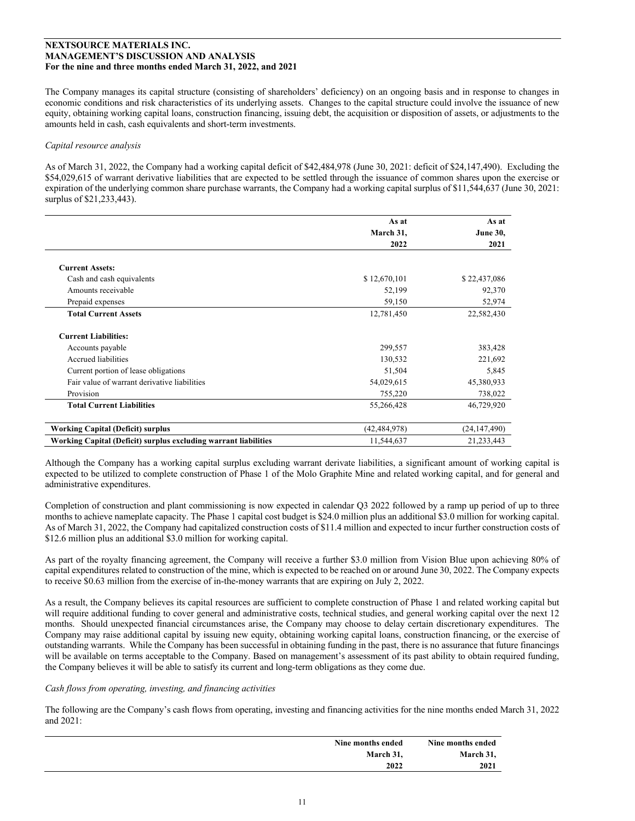The Company manages its capital structure (consisting of shareholders' deficiency) on an ongoing basis and in response to changes in economic conditions and risk characteristics of its underlying assets. Changes to the capital structure could involve the issuance of new equity, obtaining working capital loans, construction financing, issuing debt, the acquisition or disposition of assets, or adjustments to the amounts held in cash, cash equivalents and short-term investments.

## *Capital resource analysis*

As of March 31, 2022, the Company had a working capital deficit of \$42,484,978 (June 30, 2021: deficit of \$24,147,490). Excluding the \$54,029,615 of warrant derivative liabilities that are expected to be settled through the issuance of common shares upon the exercise or expiration of the underlying common share purchase warrants, the Company had a working capital surplus of \$11,544,637 (June 30, 2021: surplus of \$21,233,443).

|                                                                 | As at          | As at           |
|-----------------------------------------------------------------|----------------|-----------------|
|                                                                 | March 31,      | <b>June 30,</b> |
|                                                                 | 2022           | 2021            |
|                                                                 |                |                 |
| <b>Current Assets:</b>                                          |                |                 |
| Cash and cash equivalents                                       | \$12,670,101   | \$22,437,086    |
| Amounts receivable                                              | 52,199         | 92,370          |
| Prepaid expenses                                                | 59,150         | 52,974          |
| <b>Total Current Assets</b>                                     | 12,781,450     | 22,582,430      |
| <b>Current Liabilities:</b>                                     |                |                 |
| Accounts payable                                                | 299,557        | 383,428         |
| Accrued liabilities                                             | 130,532        | 221,692         |
| Current portion of lease obligations                            | 51,504         | 5,845           |
| Fair value of warrant derivative liabilities                    | 54,029,615     | 45,380,933      |
| Provision                                                       | 755,220        | 738,022         |
| <b>Total Current Liabilities</b>                                | 55,266,428     | 46,729,920      |
|                                                                 |                |                 |
| <b>Working Capital (Deficit) surplus</b>                        | (42, 484, 978) | (24, 147, 490)  |
| Working Capital (Deficit) surplus excluding warrant liabilities | 11,544,637     | 21,233,443      |

Although the Company has a working capital surplus excluding warrant derivate liabilities, a significant amount of working capital is expected to be utilized to complete construction of Phase 1 of the Molo Graphite Mine and related working capital, and for general and administrative expenditures.

Completion of construction and plant commissioning is now expected in calendar Q3 2022 followed by a ramp up period of up to three months to achieve nameplate capacity. The Phase 1 capital cost budget is \$24.0 million plus an additional \$3.0 million for working capital. As of March 31, 2022, the Company had capitalized construction costs of \$11.4 million and expected to incur further construction costs of \$12.6 million plus an additional \$3.0 million for working capital.

As part of the royalty financing agreement, the Company will receive a further \$3.0 million from Vision Blue upon achieving 80% of capital expenditures related to construction of the mine, which is expected to be reached on or around June 30, 2022. The Company expects to receive \$0.63 million from the exercise of in-the-money warrants that are expiring on July 2, 2022.

As a result, the Company believes its capital resources are sufficient to complete construction of Phase 1 and related working capital but will require additional funding to cover general and administrative costs, technical studies, and general working capital over the next 12 months. Should unexpected financial circumstances arise, the Company may choose to delay certain discretionary expenditures. The Company may raise additional capital by issuing new equity, obtaining working capital loans, construction financing, or the exercise of outstanding warrants. While the Company has been successful in obtaining funding in the past, there is no assurance that future financings will be available on terms acceptable to the Company. Based on management's assessment of its past ability to obtain required funding, the Company believes it will be able to satisfy its current and long-term obligations as they come due.

# *Cash flows from operating, investing, and financing activities*

The following are the Company's cash flows from operating, investing and financing activities for the nine months ended March 31, 2022 and 2021:

| Nine months ended | Nine months ended |
|-------------------|-------------------|
| March 31,         | March 31,         |
| 2022              | 2021              |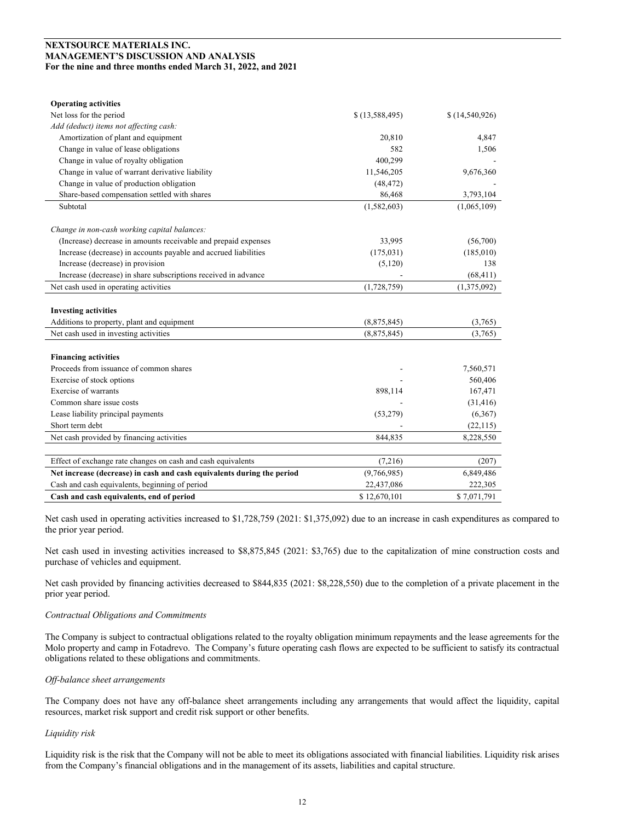| <b>Operating activities</b>                                            |                |                |
|------------------------------------------------------------------------|----------------|----------------|
| Net loss for the period                                                | \$(13,588,495) | \$(14,540,926) |
| Add (deduct) items not affecting cash:                                 |                |                |
| Amortization of plant and equipment                                    | 20,810         | 4,847          |
| Change in value of lease obligations                                   | 582            | 1,506          |
| Change in value of royalty obligation                                  | 400,299        |                |
| Change in value of warrant derivative liability                        | 11,546,205     | 9,676,360      |
| Change in value of production obligation                               | (48, 472)      |                |
| Share-based compensation settled with shares                           | 86,468         | 3,793,104      |
| Subtotal                                                               | (1,582,603)    | (1,065,109)    |
| Change in non-cash working capital balances:                           |                |                |
| (Increase) decrease in amounts receivable and prepaid expenses         | 33,995         | (56,700)       |
| Increase (decrease) in accounts payable and accrued liabilities        | (175, 031)     | (185,010)      |
| Increase (decrease) in provision                                       | (5,120)        | 138            |
| Increase (decrease) in share subscriptions received in advance         |                | (68, 411)      |
| Net cash used in operating activities                                  | (1,728,759)    | (1,375,092)    |
| <b>Investing activities</b>                                            |                |                |
| Additions to property, plant and equipment                             | (8,875,845)    | (3,765)        |
| Net cash used in investing activities                                  | (8,875,845)    | (3,765)        |
| <b>Financing activities</b>                                            |                |                |
| Proceeds from issuance of common shares                                |                | 7,560,571      |
| Exercise of stock options                                              |                | 560,406        |
| Exercise of warrants                                                   | 898,114        | 167,471        |
| Common share issue costs                                               |                | (31, 416)      |
| Lease liability principal payments                                     | (53, 279)      | (6,367)        |
| Short term debt                                                        |                | (22, 115)      |
| Net cash provided by financing activities                              | 844,835        | 8,228,550      |
|                                                                        |                |                |
| Effect of exchange rate changes on cash and cash equivalents           | (7,216)        | (207)          |
| Net increase (decrease) in cash and cash equivalents during the period | (9,766,985)    | 6,849,486      |
| Cash and cash equivalents, beginning of period                         | 22,437,086     | 222,305        |
| Cash and cash equivalents, end of period                               | \$12,670,101   | \$7,071,791    |

Net cash used in operating activities increased to \$1,728,759 (2021: \$1,375,092) due to an increase in cash expenditures as compared to the prior year period.

Net cash used in investing activities increased to \$8,875,845 (2021: \$3,765) due to the capitalization of mine construction costs and purchase of vehicles and equipment.

Net cash provided by financing activities decreased to \$844,835 (2021: \$8,228,550) due to the completion of a private placement in the prior year period.

## *Contractual Obligations and Commitments*

The Company is subject to contractual obligations related to the royalty obligation minimum repayments and the lease agreements for the Molo property and camp in Fotadrevo. The Company's future operating cash flows are expected to be sufficient to satisfy its contractual obligations related to these obligations and commitments.

# *Off-balance sheet arrangements*

The Company does not have any off-balance sheet arrangements including any arrangements that would affect the liquidity, capital resources, market risk support and credit risk support or other benefits.

# *Liquidity risk*

Liquidity risk is the risk that the Company will not be able to meet its obligations associated with financial liabilities. Liquidity risk arises from the Company's financial obligations and in the management of its assets, liabilities and capital structure.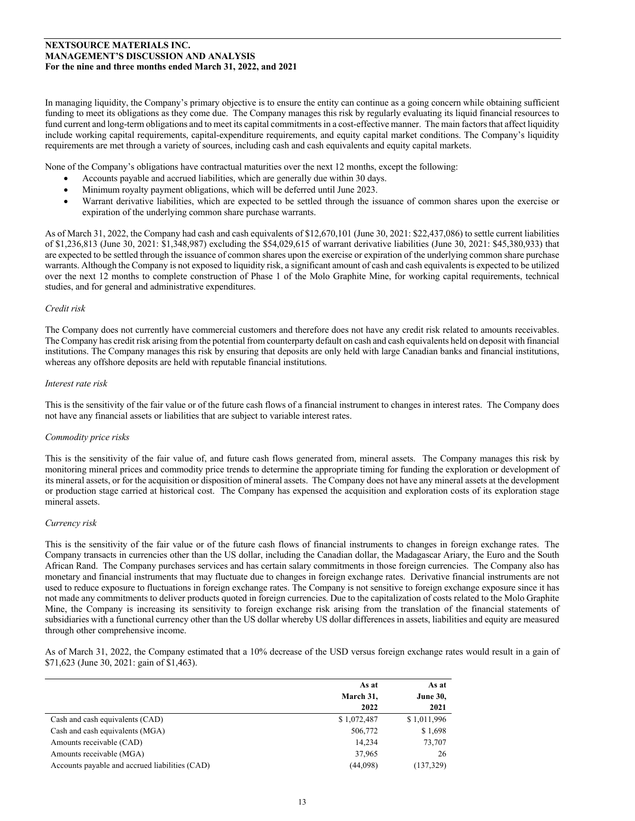In managing liquidity, the Company's primary objective is to ensure the entity can continue as a going concern while obtaining sufficient funding to meet its obligations as they come due. The Company manages this risk by regularly evaluating its liquid financial resources to fund current and long-term obligations and to meet its capital commitments in a cost-effective manner. The main factors that affect liquidity include working capital requirements, capital-expenditure requirements, and equity capital market conditions. The Company's liquidity requirements are met through a variety of sources, including cash and cash equivalents and equity capital markets.

None of the Company's obligations have contractual maturities over the next 12 months, except the following:

- Accounts payable and accrued liabilities, which are generally due within 30 days.
- Minimum royalty payment obligations, which will be deferred until June 2023.
- Warrant derivative liabilities, which are expected to be settled through the issuance of common shares upon the exercise or expiration of the underlying common share purchase warrants.

As of March 31, 2022, the Company had cash and cash equivalents of \$12,670,101 (June 30, 2021: \$22,437,086) to settle current liabilities of \$1,236,813 (June 30, 2021: \$1,348,987) excluding the \$54,029,615 of warrant derivative liabilities (June 30, 2021: \$45,380,933) that are expected to be settled through the issuance of common shares upon the exercise or expiration of the underlying common share purchase warrants. Although the Company is not exposed to liquidity risk, a significant amount of cash and cash equivalentsis expected to be utilized over the next 12 months to complete construction of Phase 1 of the Molo Graphite Mine, for working capital requirements, technical studies, and for general and administrative expenditures.

#### *Credit risk*

The Company does not currently have commercial customers and therefore does not have any credit risk related to amounts receivables. The Company has credit risk arising from the potential from counterparty default on cash and cash equivalents held on deposit with financial institutions. The Company manages this risk by ensuring that deposits are only held with large Canadian banks and financial institutions, whereas any offshore deposits are held with reputable financial institutions.

#### *Interest rate risk*

This is the sensitivity of the fair value or of the future cash flows of a financial instrument to changes in interest rates. The Company does not have any financial assets or liabilities that are subject to variable interest rates.

#### *Commodity price risks*

This is the sensitivity of the fair value of, and future cash flows generated from, mineral assets. The Company manages this risk by monitoring mineral prices and commodity price trends to determine the appropriate timing for funding the exploration or development of its mineral assets, or for the acquisition or disposition of mineral assets. The Company does not have any mineral assets at the development or production stage carried at historical cost. The Company has expensed the acquisition and exploration costs of its exploration stage mineral assets.

## *Currency risk*

This is the sensitivity of the fair value or of the future cash flows of financial instruments to changes in foreign exchange rates. The Company transacts in currencies other than the US dollar, including the Canadian dollar, the Madagascar Ariary, the Euro and the South African Rand. The Company purchases services and has certain salary commitments in those foreign currencies. The Company also has monetary and financial instruments that may fluctuate due to changes in foreign exchange rates. Derivative financial instruments are not used to reduce exposure to fluctuations in foreign exchange rates. The Company is not sensitive to foreign exchange exposure since it has not made any commitments to deliver products quoted in foreign currencies. Due to the capitalization of costs related to the Molo Graphite Mine, the Company is increasing its sensitivity to foreign exchange risk arising from the translation of the financial statements of subsidiaries with a functional currency other than the US dollar whereby US dollar differences in assets, liabilities and equity are measured through other comprehensive income.

As of March 31, 2022, the Company estimated that a 10% decrease of the USD versus foreign exchange rates would result in a gain of \$71,623 (June 30, 2021: gain of \$1,463).

|                                                | As at       | As at           |  |
|------------------------------------------------|-------------|-----------------|--|
|                                                | March 31,   | <b>June 30,</b> |  |
|                                                | 2022        | 2021            |  |
| Cash and cash equivalents (CAD)                | \$1,072,487 | \$1,011,996     |  |
| Cash and cash equivalents (MGA)                | 506,772     | \$1,698         |  |
| Amounts receivable (CAD)                       | 14.234      | 73,707          |  |
| Amounts receivable (MGA)                       | 37,965      | 26              |  |
| Accounts payable and accrued liabilities (CAD) | (44,098)    | (137, 329)      |  |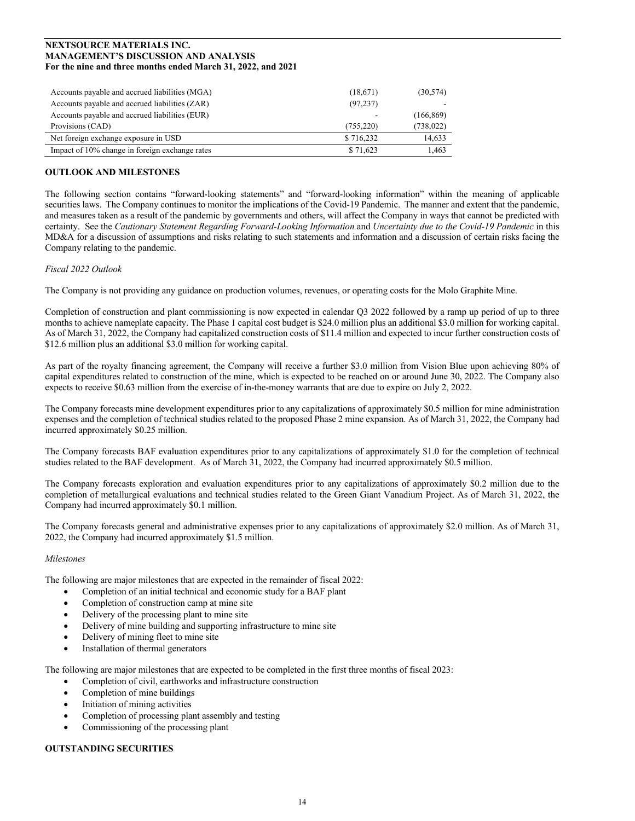| Accounts payable and accrued liabilities (MGA) | (18,671)   | (30, 574)  |
|------------------------------------------------|------------|------------|
| Accounts payable and accrued liabilities (ZAR) | (97, 237)  |            |
| Accounts payable and accrued liabilities (EUR) |            | (166, 869) |
| Provisions (CAD)                               | (755, 220) | (738, 022) |
| Net foreign exchange exposure in USD           | \$716,232  | 14.633     |
| Impact of 10% change in foreign exchange rates | \$71,623   | 1.463      |

# **OUTLOOK AND MILESTONES**

The following section contains "forward-looking statements" and "forward-looking information" within the meaning of applicable securities laws. The Company continues to monitor the implications of the Covid-19 Pandemic. The manner and extent that the pandemic, and measures taken as a result of the pandemic by governments and others, will affect the Company in ways that cannot be predicted with certainty. See the *Cautionary Statement Regarding Forward-Looking Information* and *Uncertainty due to the Covid-19 Pandemic* in this MD&A for a discussion of assumptions and risks relating to such statements and information and a discussion of certain risks facing the Company relating to the pandemic.

## *Fiscal 2022 Outlook*

The Company is not providing any guidance on production volumes, revenues, or operating costs for the Molo Graphite Mine.

Completion of construction and plant commissioning is now expected in calendar Q3 2022 followed by a ramp up period of up to three months to achieve nameplate capacity. The Phase 1 capital cost budget is \$24.0 million plus an additional \$3.0 million for working capital. As of March 31, 2022, the Company had capitalized construction costs of \$11.4 million and expected to incur further construction costs of \$12.6 million plus an additional \$3.0 million for working capital.

As part of the royalty financing agreement, the Company will receive a further \$3.0 million from Vision Blue upon achieving 80% of capital expenditures related to construction of the mine, which is expected to be reached on or around June 30, 2022. The Company also expects to receive \$0.63 million from the exercise of in-the-money warrants that are due to expire on July 2, 2022.

The Company forecasts mine development expenditures prior to any capitalizations of approximately \$0.5 million for mine administration expenses and the completion of technical studies related to the proposed Phase 2 mine expansion. As of March 31, 2022, the Company had incurred approximately \$0.25 million.

The Company forecasts BAF evaluation expenditures prior to any capitalizations of approximately \$1.0 for the completion of technical studies related to the BAF development. As of March 31, 2022, the Company had incurred approximately \$0.5 million.

The Company forecasts exploration and evaluation expenditures prior to any capitalizations of approximately \$0.2 million due to the completion of metallurgical evaluations and technical studies related to the Green Giant Vanadium Project. As of March 31, 2022, the Company had incurred approximately \$0.1 million.

The Company forecasts general and administrative expenses prior to any capitalizations of approximately \$2.0 million. As of March 31, 2022, the Company had incurred approximately \$1.5 million.

#### *Milestones*

The following are major milestones that are expected in the remainder of fiscal 2022:

- Completion of an initial technical and economic study for a BAF plant
- Completion of construction camp at mine site
- Delivery of the processing plant to mine site
- Delivery of mine building and supporting infrastructure to mine site
- Delivery of mining fleet to mine site
- Installation of thermal generators

The following are major milestones that are expected to be completed in the first three months of fiscal 2023:

- Completion of civil, earthworks and infrastructure construction
- Completion of mine buildings
- Initiation of mining activities
- Completion of processing plant assembly and testing
- Commissioning of the processing plant

# **OUTSTANDING SECURITIES**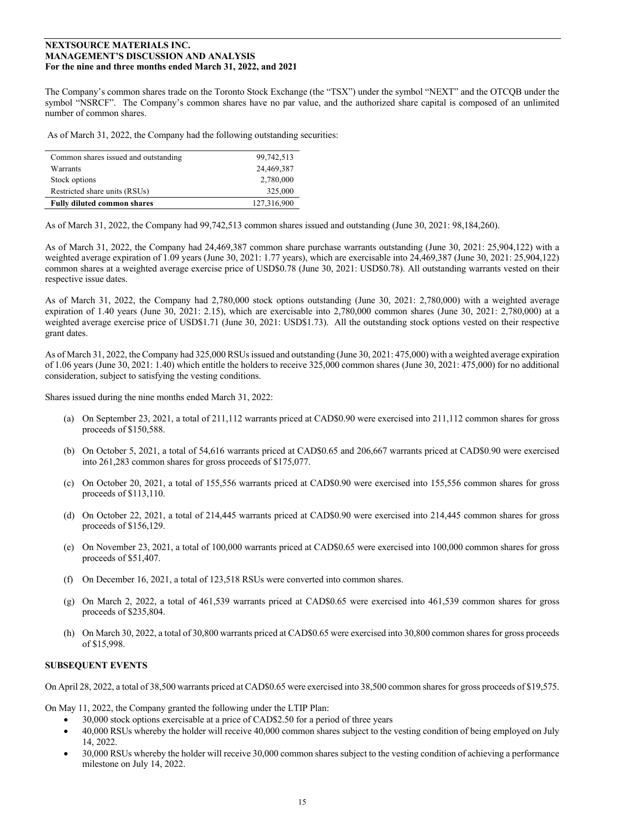The Company's common shares trade on the Toronto Stock Exchange (the "TSX") under the symbol "NEXT" and the OTCQB under the symbol "NSRCF". The Company's common shares have no par value, and the authorized share capital is composed of an unlimited number of common shares.

As of March 31, 2022, the Company had the following outstanding securities:

| Common shares issued and outstanding | 99,742,513  |
|--------------------------------------|-------------|
| Warrants                             | 24,469,387  |
| Stock options                        | 2,780,000   |
| Restricted share units (RSUs)        | 325,000     |
| <b>Fully diluted common shares</b>   | 127,316,900 |

As of March 31, 2022, the Company had 99,742,513 common shares issued and outstanding (June 30, 2021: 98,184,260).

As of March 31, 2022, the Company had 24,469,387 common share purchase warrants outstanding (June 30, 2021: 25,904,122) with a weighted average expiration of 1.09 years (June 30, 2021: 1.77 years), which are exercisable into 24,469,387 (June 30, 2021: 25,904,122) common shares at a weighted average exercise price of USD\$0.78 (June 30, 2021: USD\$0.78). All outstanding warrants vested on their respective issue dates.

As of March 31, 2022, the Company had 2,780,000 stock options outstanding (June 30, 2021: 2,780,000) with a weighted average expiration of 1.40 years (June 30, 2021: 2.15), which are exercisable into 2,780,000 common shares (June 30, 2021: 2,780,000) at a weighted average exercise price of USD\$1.71 (June 30, 2021: USD\$1.73). All the outstanding stock options vested on their respective grant dates.

As of March 31, 2022, the Company had 325,000 RSUs issued and outstanding (June 30, 2021: 475,000) with a weighted average expiration of 1.06 years (June 30, 2021: 1.40) which entitle the holders to receive 325,000 common shares (June 30, 2021: 475,000) for no additional consideration, subject to satisfying the vesting conditions.

Shares issued during the nine months ended March 31, 2022:

- (a) On September 23, 2021, a total of 211,112 warrants priced at CAD\$0.90 were exercised into 211,112 common shares for gross proceeds of \$150,588.
- (b) On October 5, 2021, a total of 54,616 warrants priced at CAD\$0.65 and 206,667 warrants priced at CAD\$0.90 were exercised into 261,283 common shares for gross proceeds of \$175,077.
- (c) On October 20, 2021, a total of 155,556 warrants priced at CAD\$0.90 were exercised into 155,556 common shares for gross proceeds of \$113,110.
- (d) On October 22, 2021, a total of 214,445 warrants priced at CAD\$0.90 were exercised into 214,445 common shares for gross proceeds of \$156,129.
- (e) On November 23, 2021, a total of 100,000 warrants priced at CAD\$0.65 were exercised into 100,000 common shares for gross proceeds of \$51,407.
- (f) On December 16, 2021, a total of 123,518 RSUs were converted into common shares.
- (g) On March 2, 2022, a total of 461,539 warrants priced at CAD\$0.65 were exercised into 461,539 common shares for gross proceeds of \$235,804.
- (h) On March 30, 2022, a total of 30,800 warrants priced at CAD\$0.65 were exercised into 30,800 common shares for gross proceeds of \$15,998.

## **SUBSEQUENT EVENTS**

On April 28, 2022, a total of 38,500 warrants priced at CAD\$0.65 were exercised into 38,500 common shares for gross proceeds of \$19,575.

On May 11, 2022, the Company granted the following under the LTIP Plan:

- 30,000 stock options exercisable at a price of CAD\$2.50 for a period of three years
- 40,000 RSUs whereby the holder will receive 40,000 common shares subject to the vesting condition of being employed on July 14, 2022.
- 30,000 RSUs whereby the holder will receive 30,000 common shares subject to the vesting condition of achieving a performance milestone on July 14, 2022.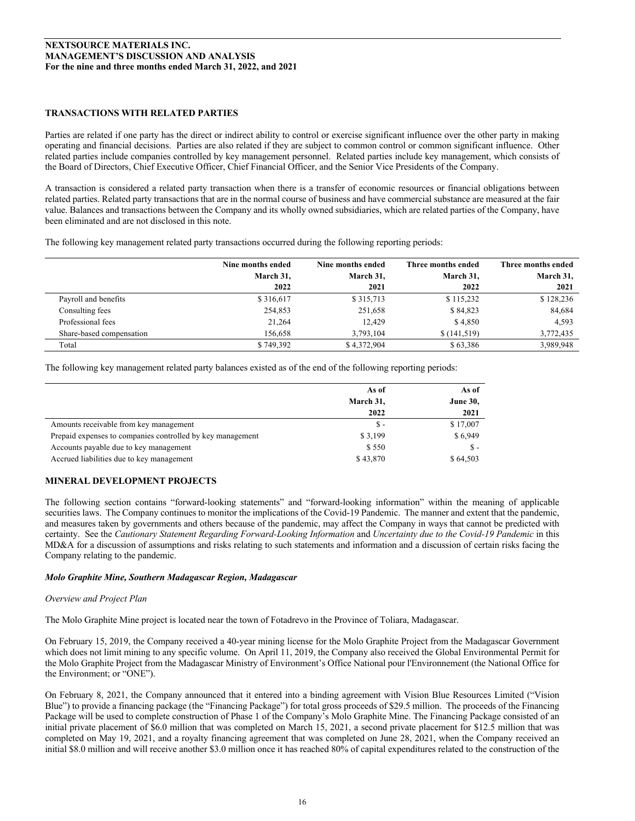# **TRANSACTIONS WITH RELATED PARTIES**

Parties are related if one party has the direct or indirect ability to control or exercise significant influence over the other party in making operating and financial decisions. Parties are also related if they are subject to common control or common significant influence. Other related parties include companies controlled by key management personnel. Related parties include key management, which consists of the Board of Directors, Chief Executive Officer, Chief Financial Officer, and the Senior Vice Presidents of the Company.

A transaction is considered a related party transaction when there is a transfer of economic resources or financial obligations between related parties. Related party transactions that are in the normal course of business and have commercial substance are measured at the fair value. Balances and transactions between the Company and its wholly owned subsidiaries, which are related parties of the Company, have been eliminated and are not disclosed in this note.

The following key management related party transactions occurred during the following reporting periods:

|                          | Nine months ended | Nine months ended | Three months ended | Three months ended |
|--------------------------|-------------------|-------------------|--------------------|--------------------|
|                          | March 31,         | March 31,         | March 31,          | March 31,          |
|                          | 2022              | 2021              | 2022               | 2021               |
| Payroll and benefits     | \$316,617         | \$315,713         | \$115,232          | \$128,236          |
| Consulting fees          | 254,853           | 251,658           | \$84,823           | 84,684             |
| Professional fees        | 21,264            | 12.429            | \$4,850            | 4.593              |
| Share-based compensation | 156,658           | 3.793.104         | \$(141,519)        | 3,772,435          |
| Total                    | \$749,392         | \$4,372,904       | \$63,386           | 3,989,948          |

The following key management related party balances existed as of the end of the following reporting periods:

|                                                            | As of     | As of           |
|------------------------------------------------------------|-----------|-----------------|
|                                                            | March 31, | <b>June 30,</b> |
|                                                            | 2022      | 2021            |
| Amounts receivable from key management                     | $S-$      | \$17,007        |
| Prepaid expenses to companies controlled by key management | \$3,199   | \$6,949         |
| Accounts payable due to key management                     | \$550     | $S -$           |
| Accrued liabilities due to key management                  | \$43,870  | \$64,503        |

# **MINERAL DEVELOPMENT PROJECTS**

The following section contains "forward-looking statements" and "forward-looking information" within the meaning of applicable securities laws. The Company continues to monitor the implications of the Covid-19 Pandemic. The manner and extent that the pandemic, and measures taken by governments and others because of the pandemic, may affect the Company in ways that cannot be predicted with certainty. See the *Cautionary Statement Regarding Forward-Looking Information* and *Uncertainty due to the Covid-19 Pandemic* in this MD&A for a discussion of assumptions and risks relating to such statements and information and a discussion of certain risks facing the Company relating to the pandemic.

# *Molo Graphite Mine, Southern Madagascar Region, Madagascar*

# *Overview and Project Plan*

The Molo Graphite Mine project is located near the town of Fotadrevo in the Province of Toliara, Madagascar.

On February 15, 2019, the Company received a 40-year mining license for the Molo Graphite Project from the Madagascar Government which does not limit mining to any specific volume. On April 11, 2019, the Company also received the Global Environmental Permit for the Molo Graphite Project from the Madagascar Ministry of Environment's Office National pour l'Environnement (the National Office for the Environment; or "ONE").

On February 8, 2021, the Company announced that it entered into a binding agreement with Vision Blue Resources Limited ("Vision Blue") to provide a financing package (the "Financing Package") for total gross proceeds of \$29.5 million. The proceeds of the Financing Package will be used to complete construction of Phase 1 of the Company's Molo Graphite Mine. The Financing Package consisted of an initial private placement of \$6.0 million that was completed on March 15, 2021, a second private placement for \$12.5 million that was completed on May 19, 2021, and a royalty financing agreement that was completed on June 28, 2021, when the Company received an initial \$8.0 million and will receive another \$3.0 million once it has reached 80% of capital expenditures related to the construction of the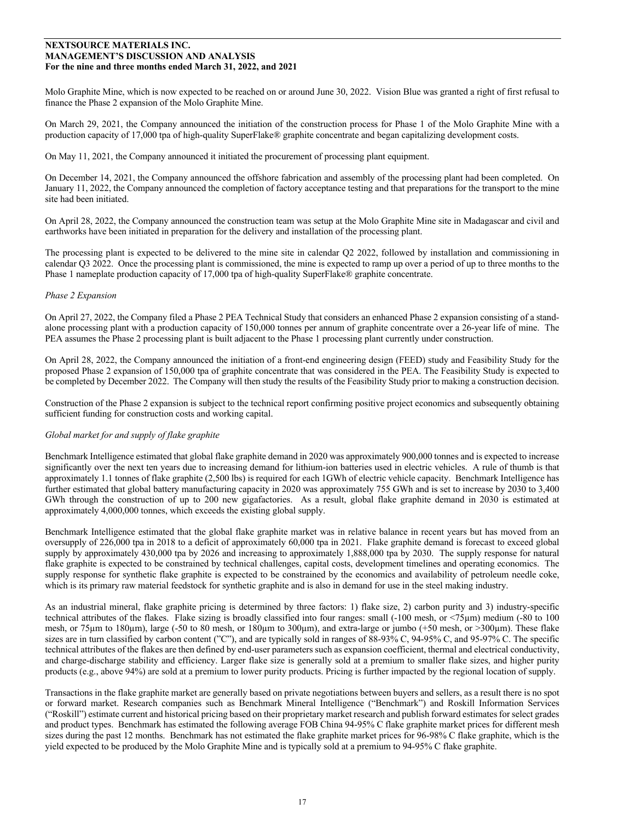Molo Graphite Mine, which is now expected to be reached on or around June 30, 2022. Vision Blue was granted a right of first refusal to finance the Phase 2 expansion of the Molo Graphite Mine.

On March 29, 2021, the Company announced the initiation of the construction process for Phase 1 of the Molo Graphite Mine with a production capacity of 17,000 tpa of high-quality SuperFlake® graphite concentrate and began capitalizing development costs.

On May 11, 2021, the Company announced it initiated the procurement of processing plant equipment.

On December 14, 2021, the Company announced the offshore fabrication and assembly of the processing plant had been completed. On January 11, 2022, the Company announced the completion of factory acceptance testing and that preparations for the transport to the mine site had been initiated.

On April 28, 2022, the Company announced the construction team was setup at the Molo Graphite Mine site in Madagascar and civil and earthworks have been initiated in preparation for the delivery and installation of the processing plant.

The processing plant is expected to be delivered to the mine site in calendar Q2 2022, followed by installation and commissioning in calendar Q3 2022. Once the processing plant is commissioned, the mine is expected to ramp up over a period of up to three months to the Phase 1 nameplate production capacity of 17,000 tpa of high-quality SuperFlake® graphite concentrate.

## *Phase 2 Expansion*

On April 27, 2022, the Company filed a Phase 2 PEA Technical Study that considers an enhanced Phase 2 expansion consisting of a standalone processing plant with a production capacity of 150,000 tonnes per annum of graphite concentrate over a 26-year life of mine. The PEA assumes the Phase 2 processing plant is built adjacent to the Phase 1 processing plant currently under construction.

On April 28, 2022, the Company announced the initiation of a front-end engineering design (FEED) study and Feasibility Study for the proposed Phase 2 expansion of 150,000 tpa of graphite concentrate that was considered in the PEA. The Feasibility Study is expected to be completed by December 2022. The Company will then study the results of the Feasibility Study prior to making a construction decision.

Construction of the Phase 2 expansion is subject to the technical report confirming positive project economics and subsequently obtaining sufficient funding for construction costs and working capital.

#### *Global market for and supply of flake graphite*

Benchmark Intelligence estimated that global flake graphite demand in 2020 was approximately 900,000 tonnes and is expected to increase significantly over the next ten years due to increasing demand for lithium-ion batteries used in electric vehicles. A rule of thumb is that approximately 1.1 tonnes of flake graphite (2,500 lbs) is required for each 1GWh of electric vehicle capacity. Benchmark Intelligence has further estimated that global battery manufacturing capacity in 2020 was approximately 755 GWh and is set to increase by 2030 to 3,400 GWh through the construction of up to 200 new gigafactories. As a result, global flake graphite demand in 2030 is estimated at approximately 4,000,000 tonnes, which exceeds the existing global supply.

Benchmark Intelligence estimated that the global flake graphite market was in relative balance in recent years but has moved from an oversupply of 226,000 tpa in 2018 to a deficit of approximately 60,000 tpa in 2021. Flake graphite demand is forecast to exceed global supply by approximately 430,000 tpa by 2026 and increasing to approximately 1,888,000 tpa by 2030. The supply response for natural flake graphite is expected to be constrained by technical challenges, capital costs, development timelines and operating economics. The supply response for synthetic flake graphite is expected to be constrained by the economics and availability of petroleum needle coke, which is its primary raw material feedstock for synthetic graphite and is also in demand for use in the steel making industry.

As an industrial mineral, flake graphite pricing is determined by three factors: 1) flake size, 2) carbon purity and 3) industry-specific technical attributes of the flakes. Flake sizing is broadly classified into four ranges: small (-100 mesh, or <75µm) medium (-80 to 100 mesh, or 75µm to 180µm), large (-50 to 80 mesh, or 180µm to 300µm), and extra-large or jumbo (+50 mesh, or >300µm). These flake sizes are in turn classified by carbon content ("C"), and are typically sold in ranges of 88-93% C, 94-95% C, and 95-97% C. The specific technical attributes of the flakes are then defined by end-user parameters such as expansion coefficient, thermal and electrical conductivity, and charge-discharge stability and efficiency. Larger flake size is generally sold at a premium to smaller flake sizes, and higher purity products (e.g., above 94%) are sold at a premium to lower purity products. Pricing is further impacted by the regional location of supply.

Transactions in the flake graphite market are generally based on private negotiations between buyers and sellers, as a result there is no spot or forward market. Research companies such as Benchmark Mineral Intelligence ("Benchmark") and Roskill Information Services ("Roskill") estimate current and historical pricing based on their proprietary market research and publish forward estimates for select grades and product types. Benchmark has estimated the following average FOB China 94-95% C flake graphite market prices for different mesh sizes during the past 12 months. Benchmark has not estimated the flake graphite market prices for 96-98% C flake graphite, which is the yield expected to be produced by the Molo Graphite Mine and is typically sold at a premium to 94-95% C flake graphite.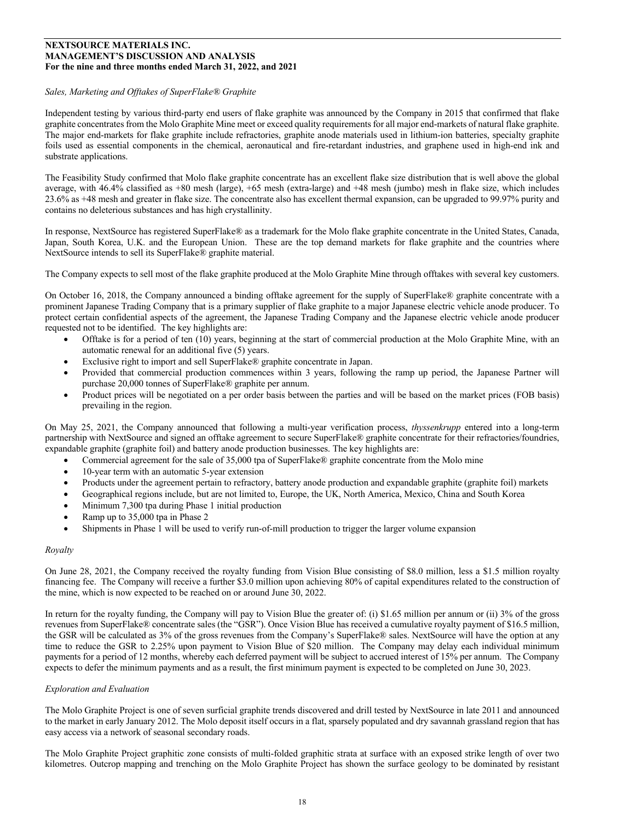## *Sales, Marketing and Offtakes of SuperFlake® Graphite*

Independent testing by various third-party end users of flake graphite was announced by the Company in 2015 that confirmed that flake graphite concentrates from the Molo Graphite Mine meet or exceed quality requirements for all major end-markets of natural flake graphite. The major end-markets for flake graphite include refractories, graphite anode materials used in lithium-ion batteries, specialty graphite foils used as essential components in the chemical, aeronautical and fire-retardant industries, and graphene used in high-end ink and substrate applications.

The Feasibility Study confirmed that Molo flake graphite concentrate has an excellent flake size distribution that is well above the global average, with 46.4% classified as +80 mesh (large), +65 mesh (extra-large) and +48 mesh (jumbo) mesh in flake size, which includes 23.6% as +48 mesh and greater in flake size. The concentrate also has excellent thermal expansion, can be upgraded to 99.97% purity and contains no deleterious substances and has high crystallinity.

In response, NextSource has registered SuperFlake® as a trademark for the Molo flake graphite concentrate in the United States, Canada, Japan, South Korea, U.K. and the European Union. These are the top demand markets for flake graphite and the countries where NextSource intends to sell its SuperFlake® graphite material.

The Company expects to sell most of the flake graphite produced at the Molo Graphite Mine through offtakes with several key customers.

On October 16, 2018, the Company announced a binding offtake agreement for the supply of SuperFlake® graphite concentrate with a prominent Japanese Trading Company that is a primary supplier of flake graphite to a major Japanese electric vehicle anode producer. To protect certain confidential aspects of the agreement, the Japanese Trading Company and the Japanese electric vehicle anode producer requested not to be identified. The key highlights are:

- Offtake is for a period of ten (10) years, beginning at the start of commercial production at the Molo Graphite Mine, with an automatic renewal for an additional five (5) years.
- Exclusive right to import and sell SuperFlake® graphite concentrate in Japan.
- Provided that commercial production commences within 3 years, following the ramp up period, the Japanese Partner will purchase 20,000 tonnes of SuperFlake® graphite per annum.
- Product prices will be negotiated on a per order basis between the parties and will be based on the market prices (FOB basis) prevailing in the region.

On May 25, 2021, the Company announced that following a multi-year verification process, *thyssenkrupp* entered into a long-term partnership with NextSource and signed an offtake agreement to secure SuperFlake® graphite concentrate for their refractories/foundries, expandable graphite (graphite foil) and battery anode production businesses. The key highlights are:

- Commercial agreement for the sale of 35,000 tpa of SuperFlake® graphite concentrate from the Molo mine
- 10-year term with an automatic 5-year extension
- Products under the agreement pertain to refractory, battery anode production and expandable graphite (graphite foil) markets
- Geographical regions include, but are not limited to, Europe, the UK, North America, Mexico, China and South Korea
- Minimum 7,300 tpa during Phase 1 initial production
- Ramp up to 35,000 tpa in Phase 2
- Shipments in Phase 1 will be used to verify run-of-mill production to trigger the larger volume expansion

#### *Royalty*

On June 28, 2021, the Company received the royalty funding from Vision Blue consisting of \$8.0 million, less a \$1.5 million royalty financing fee. The Company will receive a further \$3.0 million upon achieving 80% of capital expenditures related to the construction of the mine, which is now expected to be reached on or around June 30, 2022.

In return for the royalty funding, the Company will pay to Vision Blue the greater of: (i) \$1.65 million per annum or (ii) 3% of the gross revenues from SuperFlake® concentrate sales (the "GSR"). Once Vision Blue has received a cumulative royalty payment of \$16.5 million, the GSR will be calculated as 3% of the gross revenues from the Company's SuperFlake® sales. NextSource will have the option at any time to reduce the GSR to 2.25% upon payment to Vision Blue of \$20 million. The Company may delay each individual minimum payments for a period of 12 months, whereby each deferred payment will be subject to accrued interest of 15% per annum. The Company expects to defer the minimum payments and as a result, the first minimum payment is expected to be completed on June 30, 2023.

## *Exploration and Evaluation*

The Molo Graphite Project is one of seven surficial graphite trends discovered and drill tested by NextSource in late 2011 and announced to the market in early January 2012. The Molo deposit itself occurs in a flat, sparsely populated and dry savannah grassland region that has easy access via a network of seasonal secondary roads.

The Molo Graphite Project graphitic zone consists of multi-folded graphitic strata at surface with an exposed strike length of over two kilometres. Outcrop mapping and trenching on the Molo Graphite Project has shown the surface geology to be dominated by resistant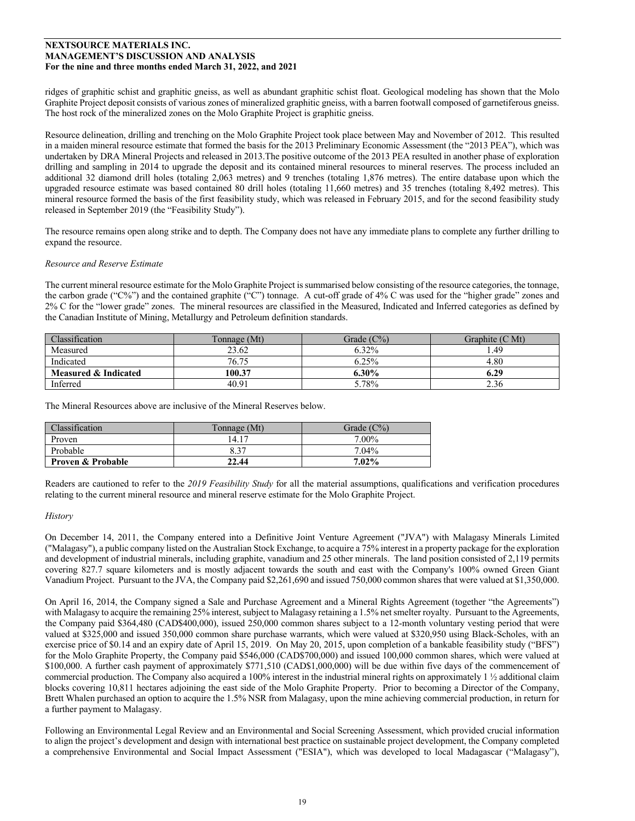ridges of graphitic schist and graphitic gneiss, as well as abundant graphitic schist float. Geological modeling has shown that the Molo Graphite Project deposit consists of various zones of mineralized graphitic gneiss, with a barren footwall composed of garnetiferous gneiss. The host rock of the mineralized zones on the Molo Graphite Project is graphitic gneiss.

Resource delineation, drilling and trenching on the Molo Graphite Project took place between May and November of 2012. This resulted in a maiden mineral resource estimate that formed the basis for the 2013 Preliminary Economic Assessment (the "2013 PEA"), which was undertaken by DRA Mineral Projects and released in 2013.The positive outcome of the 2013 PEA resulted in another phase of exploration drilling and sampling in 2014 to upgrade the deposit and its contained mineral resources to mineral reserves. The process included an additional 32 diamond drill holes (totaling 2,063 metres) and 9 trenches (totaling 1,876 metres). The entire database upon which the upgraded resource estimate was based contained 80 drill holes (totaling 11,660 metres) and 35 trenches (totaling 8,492 metres). This mineral resource formed the basis of the first feasibility study, which was released in February 2015, and for the second feasibility study released in September 2019 (the "Feasibility Study").

The resource remains open along strike and to depth. The Company does not have any immediate plans to complete any further drilling to expand the resource.

## *Resource and Reserve Estimate*

The current mineral resource estimate for the Molo Graphite Project is summarised below consisting of the resource categories, the tonnage, the carbon grade ("C%") and the contained graphite ("C") tonnage. A cut-off grade of 4% C was used for the "higher grade" zones and 2% C for the "lower grade" zones. The mineral resources are classified in the Measured, Indicated and Inferred categories as defined by the Canadian Institute of Mining, Metallurgy and Petroleum definition standards.

| Classification       | Tonnage (Mt) | Grade $(C\%)$ | Graphite (C Mt) |
|----------------------|--------------|---------------|-----------------|
| Measured             | 23.62        | 6.32%         | . 49            |
| Indicated            | 76.75        | 6.25%         | 4.80            |
| Measured & Indicated | 100.37       | $6.30\%$      | 6.29            |
| Inferred             | 40.91        | 5.78%         | 2.36            |

The Mineral Resources above are inclusive of the Mineral Reserves below.

| <b>Classification</b>        | Tonnage (Mt) | Grade $(C\%)$ |
|------------------------------|--------------|---------------|
| Proven                       | 14.17        | $7.00\%$      |
| Probable                     | 8.37         | 7.04%         |
| <b>Proven &amp; Probable</b> | 22.44        | 7.02%         |

Readers are cautioned to refer to the *2019 Feasibility Study* for all the material assumptions, qualifications and verification procedures relating to the current mineral resource and mineral reserve estimate for the Molo Graphite Project.

#### *History*

On December 14, 2011, the Company entered into a Definitive Joint Venture Agreement ("JVA") with Malagasy Minerals Limited ("Malagasy"), a public company listed on the Australian Stock Exchange, to acquire a 75% interest in a property package for the exploration and development of industrial minerals, including graphite, vanadium and 25 other minerals. The land position consisted of 2,119 permits covering 827.7 square kilometers and is mostly adjacent towards the south and east with the Company's 100% owned Green Giant Vanadium Project. Pursuant to the JVA, the Company paid \$2,261,690 and issued 750,000 common shares that were valued at \$1,350,000.

On April 16, 2014, the Company signed a Sale and Purchase Agreement and a Mineral Rights Agreement (together "the Agreements") with Malagasy to acquire the remaining 25% interest, subject to Malagasy retaining a 1.5% net smelter royalty. Pursuant to the Agreements, the Company paid \$364,480 (CAD\$400,000), issued 250,000 common shares subject to a 12-month voluntary vesting period that were valued at \$325,000 and issued 350,000 common share purchase warrants, which were valued at \$320,950 using Black-Scholes, with an exercise price of \$0.14 and an expiry date of April 15, 2019. On May 20, 2015, upon completion of a bankable feasibility study ("BFS") for the Molo Graphite Property, the Company paid \$546,000 (CAD\$700,000) and issued 100,000 common shares, which were valued at \$100,000. A further cash payment of approximately \$771,510 (CAD\$1,000,000) will be due within five days of the commencement of commercial production. The Company also acquired a 100% interest in the industrial mineral rights on approximately 1 ½ additional claim blocks covering 10,811 hectares adjoining the east side of the Molo Graphite Property. Prior to becoming a Director of the Company, Brett Whalen purchased an option to acquire the 1.5% NSR from Malagasy, upon the mine achieving commercial production, in return for a further payment to Malagasy.

Following an Environmental Legal Review and an Environmental and Social Screening Assessment, which provided crucial information to align the project's development and design with international best practice on sustainable project development, the Company completed a comprehensive Environmental and Social Impact Assessment ("ESIA"), which was developed to local Madagascar ("Malagasy"),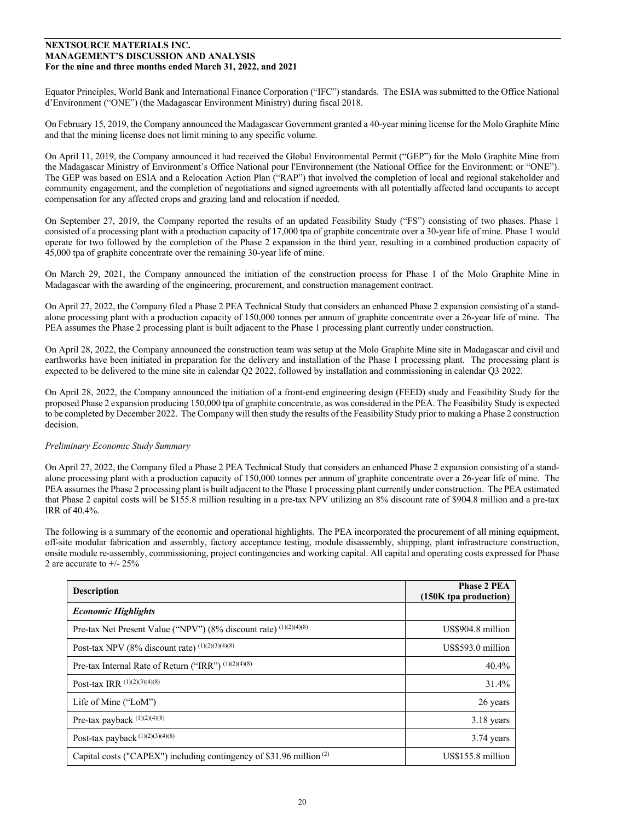Equator Principles, World Bank and International Finance Corporation ("IFC") standards. The ESIA was submitted to the Office National d'Environment ("ONE") (the Madagascar Environment Ministry) during fiscal 2018.

On February 15, 2019, the Company announced the Madagascar Government granted a 40-year mining license for the Molo Graphite Mine and that the mining license does not limit mining to any specific volume.

On April 11, 2019, the Company announced it had received the Global Environmental Permit ("GEP") for the Molo Graphite Mine from the Madagascar Ministry of Environment's Office National pour l'Environnement (the National Office for the Environment; or "ONE"). The GEP was based on ESIA and a Relocation Action Plan ("RAP") that involved the completion of local and regional stakeholder and community engagement, and the completion of negotiations and signed agreements with all potentially affected land occupants to accept compensation for any affected crops and grazing land and relocation if needed.

On September 27, 2019, the Company reported the results of an updated Feasibility Study ("FS") consisting of two phases. Phase 1 consisted of a processing plant with a production capacity of 17,000 tpa of graphite concentrate over a 30-year life of mine. Phase 1 would operate for two followed by the completion of the Phase 2 expansion in the third year, resulting in a combined production capacity of 45,000 tpa of graphite concentrate over the remaining 30-year life of mine.

On March 29, 2021, the Company announced the initiation of the construction process for Phase 1 of the Molo Graphite Mine in Madagascar with the awarding of the engineering, procurement, and construction management contract.

On April 27, 2022, the Company filed a Phase 2 PEA Technical Study that considers an enhanced Phase 2 expansion consisting of a standalone processing plant with a production capacity of 150,000 tonnes per annum of graphite concentrate over a 26-year life of mine. The PEA assumes the Phase 2 processing plant is built adjacent to the Phase 1 processing plant currently under construction.

On April 28, 2022, the Company announced the construction team was setup at the Molo Graphite Mine site in Madagascar and civil and earthworks have been initiated in preparation for the delivery and installation of the Phase 1 processing plant. The processing plant is expected to be delivered to the mine site in calendar Q2 2022, followed by installation and commissioning in calendar Q3 2022.

On April 28, 2022, the Company announced the initiation of a front-end engineering design (FEED) study and Feasibility Study for the proposed Phase 2 expansion producing 150,000 tpa of graphite concentrate, as was considered in the PEA. The Feasibility Study is expected to be completed by December 2022. The Company will then study the results of the Feasibility Study prior to making a Phase 2 construction decision.

# *Preliminary Economic Study Summary*

On April 27, 2022, the Company filed a Phase 2 PEA Technical Study that considers an enhanced Phase 2 expansion consisting of a standalone processing plant with a production capacity of 150,000 tonnes per annum of graphite concentrate over a 26-year life of mine. The PEA assumes the Phase 2 processing plant is built adjacent to the Phase 1 processing plant currently under construction. The PEA estimated that Phase 2 capital costs will be \$155.8 million resulting in a pre-tax NPV utilizing an 8% discount rate of \$904.8 million and a pre-tax IRR of 40.4%.

The following is a summary of the economic and operational highlights. The PEA incorporated the procurement of all mining equipment, off-site modular fabrication and assembly, factory acceptance testing, module disassembly, shipping, plant infrastructure construction, onsite module re-assembly, commissioning, project contingencies and working capital. All capital and operating costs expressed for Phase 2 are accurate to +/- 25%

| <b>Description</b>                                                              | <b>Phase 2 PEA</b><br>(150K tpa production) |
|---------------------------------------------------------------------------------|---------------------------------------------|
| <b>Economic Highlights</b>                                                      |                                             |
| Pre-tax Net Present Value ("NPV") (8% discount rate) (1)(2)(4)(8)               | US\$904.8 million                           |
| Post-tax NPV (8% discount rate) $(1)(2)(3)(4)(8)$                               | US\$593.0 million                           |
| Pre-tax Internal Rate of Return ("IRR") (1)(2)(4)(8)                            | $40.4\%$                                    |
| Post-tax IRR (1)(2)(3)(4)(8)                                                    | 31.4%                                       |
| Life of Mine $("LoM")$                                                          | 26 years                                    |
| Pre-tax payback (1)(2)(4)(8)                                                    | 3.18 years                                  |
| Post-tax payback (1)(2)(3)(4)(8)                                                | $3.74$ years                                |
| Capital costs ("CAPEX") including contingency of \$31.96 million <sup>(2)</sup> | US\$155.8 million                           |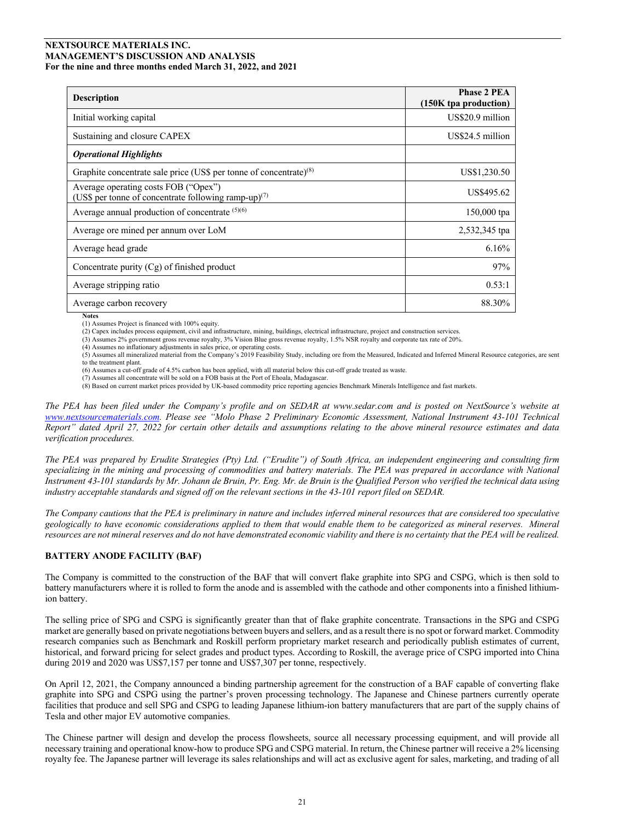| <b>Description</b>                                                                                       | <b>Phase 2 PEA</b><br>(150K tpa production) |
|----------------------------------------------------------------------------------------------------------|---------------------------------------------|
| Initial working capital                                                                                  | US\$20.9 million                            |
| Sustaining and closure CAPEX                                                                             | US\$24.5 million                            |
| <b>Operational Highlights</b>                                                                            |                                             |
| Graphite concentrate sale price (US\$ per tonne of concentrate) $(8)$                                    | US\$1,230.50                                |
| Average operating costs FOB ("Opex")<br>(US\$ per tonne of concentrate following ramp-up) <sup>(7)</sup> | US\$495.62                                  |
| Average annual production of concentrate (5)(6)                                                          | 150,000 tpa                                 |
| Average ore mined per annum over LoM                                                                     | 2,532,345 tpa                               |
| Average head grade                                                                                       | 6.16%                                       |
| Concentrate purity $(Cg)$ of finished product                                                            | 97%                                         |
| Average stripping ratio                                                                                  | 0.53:1                                      |
| Average carbon recovery                                                                                  | 88.30%                                      |

**Notes**

(1) Assumes Project is financed with 100% equity. (2) Capex includes process equipment, civil and infrastructure, mining, buildings, electrical infrastructure, project and construction services.

(3) Assumes 2% government gross revenue royalty, 3% Vision Blue gross revenue royalty, 1.5% NSR royalty and corporate tax rate of 20%.

(4) Assumes no inflationary adjustments in sales price, or operating costs.

(5) Assumes all mineralized material from the Company's 2019 Feasibility Study, including ore from the Measured, Indicated and Inferred Mineral Resource categories, are sent to the treatment plant.

(6) Assumes a cut-off grade of 4.5% carbon has been applied, with all material below this cut-off grade treated as waste.

(7) Assumes all concentrate will be sold on a FOB basis at the Port of Ehoala, Madagascar.

(8) Based on current market prices provided by UK-based commodity price reporting agencies Benchmark Minerals Intelligence and fast markets.

*The PEA has been filed under the Company's profile and on SEDAR at www.sedar.com and is posted on NextSource's website at www.nextsourcematerials.com. Please see "Molo Phase 2 Preliminary Economic Assessment, National Instrument 43-101 Technical Report" dated April 27, 2022 for certain other details and assumptions relating to the above mineral resource estimates and data verification procedures.*

*The PEA was prepared by Erudite Strategies (Pty) Ltd. ("Erudite") of South Africa, an independent engineering and consulting firm specializing in the mining and processing of commodities and battery materials. The PEA was prepared in accordance with National Instrument 43-101 standards by Mr. Johann de Bruin, Pr. Eng. Mr. de Bruin is the Qualified Person who verified the technical data using industry acceptable standards and signed off on the relevant sections in the 43-101 report filed on SEDAR.*

*The Company cautions that the PEA is preliminary in nature and includes inferred mineral resources that are considered too speculative geologically to have economic considerations applied to them that would enable them to be categorized as mineral reserves. Mineral resources are not mineral reserves and do not have demonstrated economic viability and there is no certainty that the PEA will be realized.*

# **BATTERY ANODE FACILITY (BAF)**

The Company is committed to the construction of the BAF that will convert flake graphite into SPG and CSPG, which is then sold to battery manufacturers where it is rolled to form the anode and is assembled with the cathode and other components into a finished lithiumion battery.

The selling price of SPG and CSPG is significantly greater than that of flake graphite concentrate. Transactions in the SPG and CSPG market are generally based on private negotiations between buyers and sellers, and as a result there is no spot or forward market. Commodity research companies such as Benchmark and Roskill perform proprietary market research and periodically publish estimates of current, historical, and forward pricing for select grades and product types. According to Roskill, the average price of CSPG imported into China during 2019 and 2020 was US\$7,157 per tonne and US\$7,307 per tonne, respectively.

On April 12, 2021, the Company announced a binding partnership agreement for the construction of a BAF capable of converting flake graphite into SPG and CSPG using the partner's proven processing technology. The Japanese and Chinese partners currently operate facilities that produce and sell SPG and CSPG to leading Japanese lithium-ion battery manufacturers that are part of the supply chains of Tesla and other major EV automotive companies.

The Chinese partner will design and develop the process flowsheets, source all necessary processing equipment, and will provide all necessary training and operational know-how to produce SPG and CSPG material. In return, the Chinese partner will receive a 2% licensing royalty fee. The Japanese partner will leverage its sales relationships and will act as exclusive agent for sales, marketing, and trading of all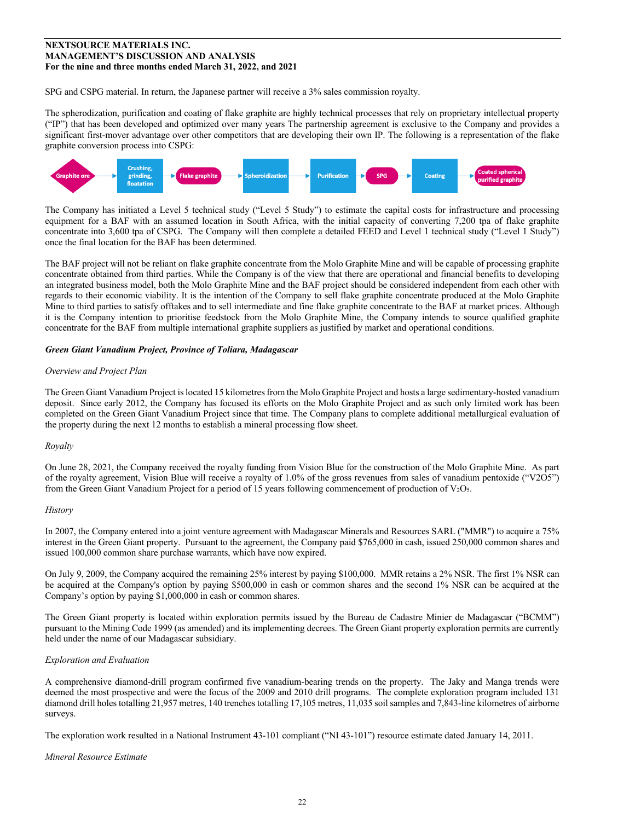SPG and CSPG material. In return, the Japanese partner will receive a 3% sales commission royalty.

The spherodization, purification and coating of flake graphite are highly technical processes that rely on proprietary intellectual property ("IP") that has been developed and optimized over many years The partnership agreement is exclusive to the Company and provides a significant first-mover advantage over other competitors that are developing their own IP. The following is a representation of the flake graphite conversion process into CSPG:



The Company has initiated a Level 5 technical study ("Level 5 Study") to estimate the capital costs for infrastructure and processing equipment for a BAF with an assumed location in South Africa, with the initial capacity of converting 7,200 tpa of flake graphite concentrate into 3,600 tpa of CSPG. The Company will then complete a detailed FEED and Level 1 technical study ("Level 1 Study") once the final location for the BAF has been determined.

The BAF project will not be reliant on flake graphite concentrate from the Molo Graphite Mine and will be capable of processing graphite concentrate obtained from third parties. While the Company is of the view that there are operational and financial benefits to developing an integrated business model, both the Molo Graphite Mine and the BAF project should be considered independent from each other with regards to their economic viability. It is the intention of the Company to sell flake graphite concentrate produced at the Molo Graphite Mine to third parties to satisfy offtakes and to sell intermediate and fine flake graphite concentrate to the BAF at market prices. Although it is the Company intention to prioritise feedstock from the Molo Graphite Mine, the Company intends to source qualified graphite concentrate for the BAF from multiple international graphite suppliers as justified by market and operational conditions.

# *Green Giant Vanadium Project, Province of Toliara, Madagascar*

# *Overview and Project Plan*

The Green Giant Vanadium Project is located 15 kilometres from the Molo Graphite Project and hosts a large sedimentary-hosted vanadium deposit. Since early 2012, the Company has focused its efforts on the Molo Graphite Project and as such only limited work has been completed on the Green Giant Vanadium Project since that time. The Company plans to complete additional metallurgical evaluation of the property during the next 12 months to establish a mineral processing flow sheet.

# *Royalty*

On June 28, 2021, the Company received the royalty funding from Vision Blue for the construction of the Molo Graphite Mine. As part of the royalty agreement, Vision Blue will receive a royalty of 1.0% of the gross revenues from sales of vanadium pentoxide ("V2O5") from the Green Giant Vanadium Project for a period of 15 years following commencement of production of  $V_2O_5$ .

# *History*

In 2007, the Company entered into a joint venture agreement with Madagascar Minerals and Resources SARL ("MMR") to acquire a 75% interest in the Green Giant property. Pursuant to the agreement, the Company paid \$765,000 in cash, issued 250,000 common shares and issued 100,000 common share purchase warrants, which have now expired.

On July 9, 2009, the Company acquired the remaining 25% interest by paying \$100,000. MMR retains a 2% NSR. The first 1% NSR can be acquired at the Company's option by paying \$500,000 in cash or common shares and the second 1% NSR can be acquired at the Company's option by paying \$1,000,000 in cash or common shares.

The Green Giant property is located within exploration permits issued by the Bureau de Cadastre Minier de Madagascar ("BCMM") pursuant to the Mining Code 1999 (as amended) and its implementing decrees. The Green Giant property exploration permits are currently held under the name of our Madagascar subsidiary.

# *Exploration and Evaluation*

A comprehensive diamond-drill program confirmed five vanadium-bearing trends on the property. The Jaky and Manga trends were deemed the most prospective and were the focus of the 2009 and 2010 drill programs. The complete exploration program included 131 diamond drill holes totalling 21,957 metres, 140 trenches totalling 17,105 metres, 11,035 soil samples and 7,843-line kilometres of airborne surveys.

The exploration work resulted in a National Instrument 43-101 compliant ("NI 43-101") resource estimate dated January 14, 2011.

#### *Mineral Resource Estimate*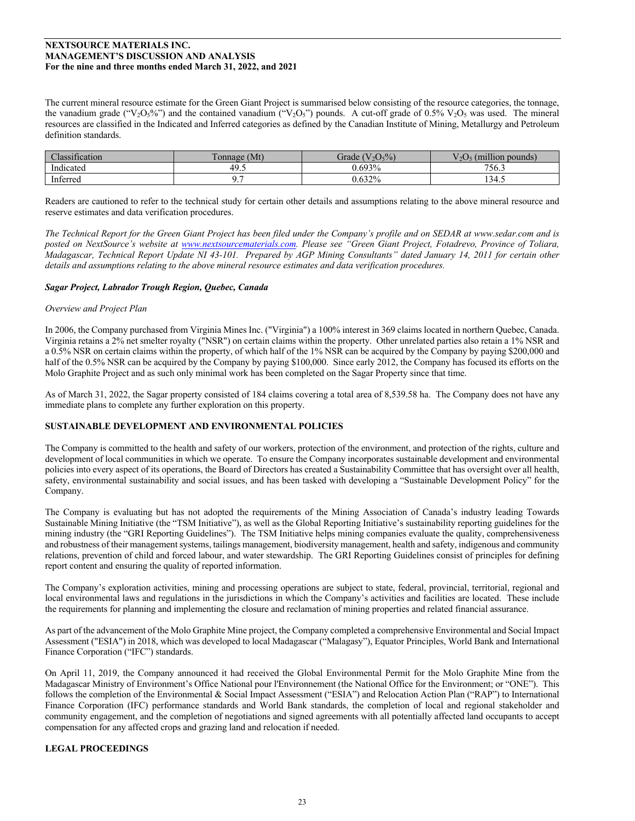The current mineral resource estimate for the Green Giant Project is summarised below consisting of the resource categories, the tonnage, the vanadium grade ("V<sub>2</sub>O<sub>5</sub>%") and the contained vanadium ("V<sub>2</sub>O<sub>5</sub>") pounds. A cut-off grade of 0.5% V<sub>2</sub>O<sub>5</sub> was used. The mineral resources are classified in the Indicated and Inferred categories as defined by the Canadian Institute of Mining, Metallurgy and Petroleum definition standards.

| $\cdot$<br>$\sim$ 1<br>Jassification | $\mathbf{r}$<br>Tonnage (Mt) | $(V_2O_5\%)$<br>Grade | $-1.1.1$<br>(million pounds)<br>$\sqrt{2}$ |
|--------------------------------------|------------------------------|-----------------------|--------------------------------------------|
| $\cdots$<br>Indicated                | 40<br>т.                     | 0.693%                | 756.3                                      |
| $\sim$<br>Inferred                   | .                            | 0.632%                | 134.5                                      |

Readers are cautioned to refer to the technical study for certain other details and assumptions relating to the above mineral resource and reserve estimates and data verification procedures.

*The Technical Report for the Green Giant Project has been filed under the Company's profile and on SEDAR at www.sedar.com and is posted on NextSource's website at www.nextsourcematerials.com. Please see "Green Giant Project, Fotadrevo, Province of Toliara, Madagascar, Technical Report Update NI 43-101. Prepared by AGP Mining Consultants" dated January 14, 2011 for certain other details and assumptions relating to the above mineral resource estimates and data verification procedures.*

## *Sagar Project, Labrador Trough Region, Quebec, Canada*

## *Overview and Project Plan*

In 2006, the Company purchased from Virginia Mines Inc. ("Virginia") a 100% interest in 369 claims located in northern Quebec, Canada. Virginia retains a 2% net smelter royalty ("NSR") on certain claims within the property. Other unrelated parties also retain a 1% NSR and a 0.5% NSR on certain claims within the property, of which half of the 1% NSR can be acquired by the Company by paying \$200,000 and half of the 0.5% NSR can be acquired by the Company by paying \$100,000. Since early 2012, the Company has focused its efforts on the Molo Graphite Project and as such only minimal work has been completed on the Sagar Property since that time.

As of March 31, 2022, the Sagar property consisted of 184 claims covering a total area of 8,539.58 ha. The Company does not have any immediate plans to complete any further exploration on this property.

# **SUSTAINABLE DEVELOPMENT AND ENVIRONMENTAL POLICIES**

The Company is committed to the health and safety of our workers, protection of the environment, and protection of the rights, culture and development of local communities in which we operate. To ensure the Company incorporates sustainable development and environmental policies into every aspect of its operations, the Board of Directors has created a Sustainability Committee that has oversight over all health, safety, environmental sustainability and social issues, and has been tasked with developing a "Sustainable Development Policy" for the Company.

The Company is evaluating but has not adopted the requirements of the Mining Association of Canada's industry leading Towards Sustainable Mining Initiative (the "TSM Initiative"), as well as the Global Reporting Initiative's sustainability reporting guidelines for the mining industry (the "GRI Reporting Guidelines"). The TSM Initiative helps mining companies evaluate the quality, comprehensiveness and robustness of their management systems, tailings management, biodiversity management, health and safety, indigenous and community relations, prevention of child and forced labour, and water stewardship. The GRI Reporting Guidelines consist of principles for defining report content and ensuring the quality of reported information.

The Company's exploration activities, mining and processing operations are subject to state, federal, provincial, territorial, regional and local environmental laws and regulations in the jurisdictions in which the Company's activities and facilities are located. These include the requirements for planning and implementing the closure and reclamation of mining properties and related financial assurance.

As part of the advancement of the Molo Graphite Mine project, the Company completed a comprehensive Environmental and Social Impact Assessment ("ESIA") in 2018, which was developed to local Madagascar ("Malagasy"), Equator Principles, World Bank and International Finance Corporation ("IFC") standards.

On April 11, 2019, the Company announced it had received the Global Environmental Permit for the Molo Graphite Mine from the Madagascar Ministry of Environment's Office National pour l'Environnement (the National Office for the Environment; or "ONE"). This follows the completion of the Environmental & Social Impact Assessment ("ESIA") and Relocation Action Plan ("RAP") to International Finance Corporation (IFC) performance standards and World Bank standards, the completion of local and regional stakeholder and community engagement, and the completion of negotiations and signed agreements with all potentially affected land occupants to accept compensation for any affected crops and grazing land and relocation if needed.

# **LEGAL PROCEEDINGS**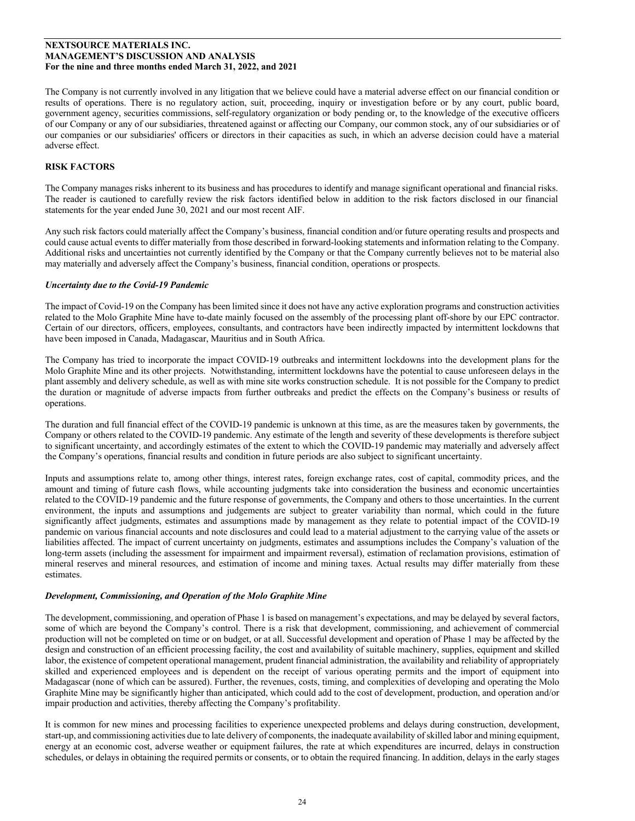The Company is not currently involved in any litigation that we believe could have a material adverse effect on our financial condition or results of operations. There is no regulatory action, suit, proceeding, inquiry or investigation before or by any court, public board, government agency, securities commissions, self-regulatory organization or body pending or, to the knowledge of the executive officers of our Company or any of our subsidiaries, threatened against or affecting our Company, our common stock, any of our subsidiaries or of our companies or our subsidiaries' officers or directors in their capacities as such, in which an adverse decision could have a material adverse effect.

# **RISK FACTORS**

The Company manages risks inherent to its business and has procedures to identify and manage significant operational and financial risks. The reader is cautioned to carefully review the risk factors identified below in addition to the risk factors disclosed in our financial statements for the year ended June 30, 2021 and our most recent AIF.

Any such risk factors could materially affect the Company's business, financial condition and/or future operating results and prospects and could cause actual events to differ materially from those described in forward-looking statements and information relating to the Company. Additional risks and uncertainties not currently identified by the Company or that the Company currently believes not to be material also may materially and adversely affect the Company's business, financial condition, operations or prospects.

## *Uncertainty due to the Covid-19 Pandemic*

The impact of Covid-19 on the Company has been limited since it does not have any active exploration programs and construction activities related to the Molo Graphite Mine have to-date mainly focused on the assembly of the processing plant off-shore by our EPC contractor. Certain of our directors, officers, employees, consultants, and contractors have been indirectly impacted by intermittent lockdowns that have been imposed in Canada, Madagascar, Mauritius and in South Africa.

The Company has tried to incorporate the impact COVID-19 outbreaks and intermittent lockdowns into the development plans for the Molo Graphite Mine and its other projects. Notwithstanding, intermittent lockdowns have the potential to cause unforeseen delays in the plant assembly and delivery schedule, as well as with mine site works construction schedule. It is not possible for the Company to predict the duration or magnitude of adverse impacts from further outbreaks and predict the effects on the Company's business or results of operations.

The duration and full financial effect of the COVID-19 pandemic is unknown at this time, as are the measures taken by governments, the Company or others related to the COVID-19 pandemic. Any estimate of the length and severity of these developments is therefore subject to significant uncertainty, and accordingly estimates of the extent to which the COVID-19 pandemic may materially and adversely affect the Company's operations, financial results and condition in future periods are also subject to significant uncertainty.

Inputs and assumptions relate to, among other things, interest rates, foreign exchange rates, cost of capital, commodity prices, and the amount and timing of future cash flows, while accounting judgments take into consideration the business and economic uncertainties related to the COVID-19 pandemic and the future response of governments, the Company and others to those uncertainties. In the current environment, the inputs and assumptions and judgements are subject to greater variability than normal, which could in the future significantly affect judgments, estimates and assumptions made by management as they relate to potential impact of the COVID-19 pandemic on various financial accounts and note disclosures and could lead to a material adjustment to the carrying value of the assets or liabilities affected. The impact of current uncertainty on judgments, estimates and assumptions includes the Company's valuation of the long-term assets (including the assessment for impairment and impairment reversal), estimation of reclamation provisions, estimation of mineral reserves and mineral resources, and estimation of income and mining taxes. Actual results may differ materially from these estimates.

#### *Development, Commissioning, and Operation of the Molo Graphite Mine*

The development, commissioning, and operation of Phase 1 is based on management's expectations, and may be delayed by several factors, some of which are beyond the Company's control. There is a risk that development, commissioning, and achievement of commercial production will not be completed on time or on budget, or at all. Successful development and operation of Phase 1 may be affected by the design and construction of an efficient processing facility, the cost and availability of suitable machinery, supplies, equipment and skilled labor, the existence of competent operational management, prudent financial administration, the availability and reliability of appropriately skilled and experienced employees and is dependent on the receipt of various operating permits and the import of equipment into Madagascar (none of which can be assured). Further, the revenues, costs, timing, and complexities of developing and operating the Molo Graphite Mine may be significantly higher than anticipated, which could add to the cost of development, production, and operation and/or impair production and activities, thereby affecting the Company's profitability.

It is common for new mines and processing facilities to experience unexpected problems and delays during construction, development, start-up, and commissioning activities due to late delivery of components, the inadequate availability of skilled labor and mining equipment, energy at an economic cost, adverse weather or equipment failures, the rate at which expenditures are incurred, delays in construction schedules, or delays in obtaining the required permits or consents, or to obtain the required financing. In addition, delays in the early stages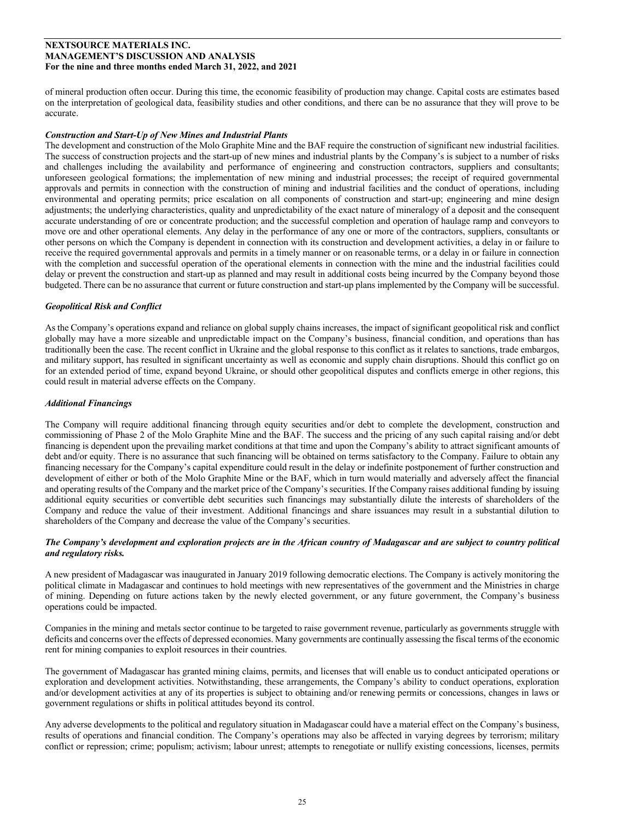of mineral production often occur. During this time, the economic feasibility of production may change. Capital costs are estimates based on the interpretation of geological data, feasibility studies and other conditions, and there can be no assurance that they will prove to be accurate.

## *Construction and Start-Up of New Mines and Industrial Plants*

The development and construction of the Molo Graphite Mine and the BAF require the construction of significant new industrial facilities. The success of construction projects and the start-up of new mines and industrial plants by the Company's is subject to a number of risks and challenges including the availability and performance of engineering and construction contractors, suppliers and consultants; unforeseen geological formations; the implementation of new mining and industrial processes; the receipt of required governmental approvals and permits in connection with the construction of mining and industrial facilities and the conduct of operations, including environmental and operating permits; price escalation on all components of construction and start-up; engineering and mine design adjustments; the underlying characteristics, quality and unpredictability of the exact nature of mineralogy of a deposit and the consequent accurate understanding of ore or concentrate production; and the successful completion and operation of haulage ramp and conveyors to move ore and other operational elements. Any delay in the performance of any one or more of the contractors, suppliers, consultants or other persons on which the Company is dependent in connection with its construction and development activities, a delay in or failure to receive the required governmental approvals and permits in a timely manner or on reasonable terms, or a delay in or failure in connection with the completion and successful operation of the operational elements in connection with the mine and the industrial facilities could delay or prevent the construction and start-up as planned and may result in additional costs being incurred by the Company beyond those budgeted. There can be no assurance that current or future construction and start-up plans implemented by the Company will be successful.

## *Geopolitical Risk and Conflict*

As the Company's operations expand and reliance on global supply chains increases, the impact of significant geopolitical risk and conflict globally may have a more sizeable and unpredictable impact on the Company's business, financial condition, and operations than has traditionally been the case. The recent conflict in Ukraine and the global response to this conflict as it relates to sanctions, trade embargos, and military support, has resulted in significant uncertainty as well as economic and supply chain disruptions. Should this conflict go on for an extended period of time, expand beyond Ukraine, or should other geopolitical disputes and conflicts emerge in other regions, this could result in material adverse effects on the Company.

#### *Additional Financings*

The Company will require additional financing through equity securities and/or debt to complete the development, construction and commissioning of Phase 2 of the Molo Graphite Mine and the BAF. The success and the pricing of any such capital raising and/or debt financing is dependent upon the prevailing market conditions at that time and upon the Company's ability to attract significant amounts of debt and/or equity. There is no assurance that such financing will be obtained on terms satisfactory to the Company. Failure to obtain any financing necessary for the Company's capital expenditure could result in the delay or indefinite postponement of further construction and development of either or both of the Molo Graphite Mine or the BAF, which in turn would materially and adversely affect the financial and operating results of the Company and the market price of the Company's securities. If the Company raises additional funding by issuing additional equity securities or convertible debt securities such financings may substantially dilute the interests of shareholders of the Company and reduce the value of their investment. Additional financings and share issuances may result in a substantial dilution to shareholders of the Company and decrease the value of the Company's securities.

## *The Company's development and exploration projects are in the African country of Madagascar and are subject to country political and regulatory risks.*

A new president of Madagascar was inaugurated in January 2019 following democratic elections. The Company is actively monitoring the political climate in Madagascar and continues to hold meetings with new representatives of the government and the Ministries in charge of mining. Depending on future actions taken by the newly elected government, or any future government, the Company's business operations could be impacted.

Companies in the mining and metals sector continue to be targeted to raise government revenue, particularly as governments struggle with deficits and concerns over the effects of depressed economies. Many governments are continually assessing the fiscal terms of the economic rent for mining companies to exploit resources in their countries.

The government of Madagascar has granted mining claims, permits, and licenses that will enable us to conduct anticipated operations or exploration and development activities. Notwithstanding, these arrangements, the Company's ability to conduct operations, exploration and/or development activities at any of its properties is subject to obtaining and/or renewing permits or concessions, changes in laws or government regulations or shifts in political attitudes beyond its control.

Any adverse developments to the political and regulatory situation in Madagascar could have a material effect on the Company's business, results of operations and financial condition. The Company's operations may also be affected in varying degrees by terrorism; military conflict or repression; crime; populism; activism; labour unrest; attempts to renegotiate or nullify existing concessions, licenses, permits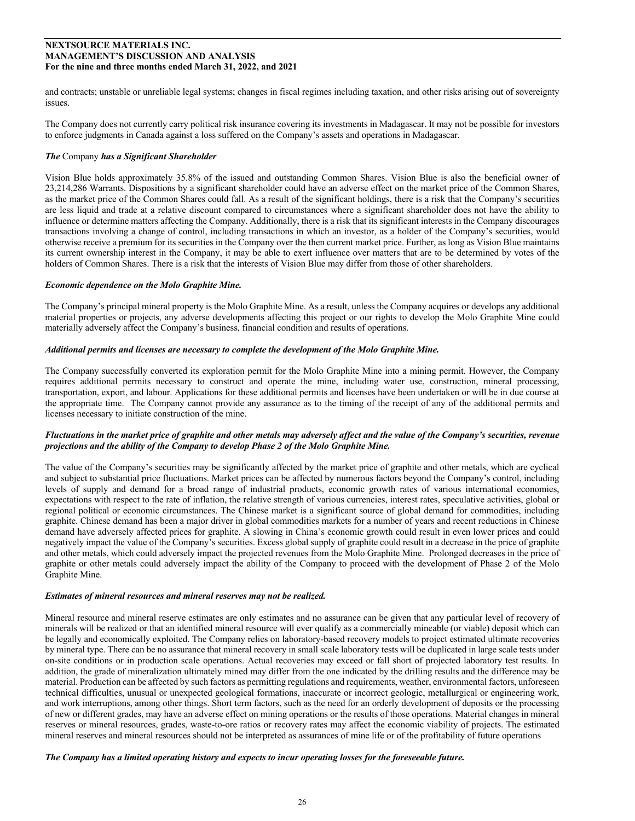and contracts; unstable or unreliable legal systems; changes in fiscal regimes including taxation, and other risks arising out of sovereignty issues.

The Company does not currently carry political risk insurance covering its investments in Madagascar. It may not be possible for investors to enforce judgments in Canada against a loss suffered on the Company's assets and operations in Madagascar.

## *The* Company *has a Significant Shareholder*

Vision Blue holds approximately 35.8% of the issued and outstanding Common Shares. Vision Blue is also the beneficial owner of 23,214,286 Warrants. Dispositions by a significant shareholder could have an adverse effect on the market price of the Common Shares, as the market price of the Common Shares could fall. As a result of the significant holdings, there is a risk that the Company's securities are less liquid and trade at a relative discount compared to circumstances where a significant shareholder does not have the ability to influence or determine matters affecting the Company. Additionally, there is a risk that its significant interests in the Company discourages transactions involving a change of control, including transactions in which an investor, as a holder of the Company's securities, would otherwise receive a premium for its securities in the Company over the then current market price. Further, as long as Vision Blue maintains its current ownership interest in the Company, it may be able to exert influence over matters that are to be determined by votes of the holders of Common Shares. There is a risk that the interests of Vision Blue may differ from those of other shareholders.

## *Economic dependence on the Molo Graphite Mine.*

The Company's principal mineral property is the Molo Graphite Mine. As a result, unless the Company acquires or develops any additional material properties or projects, any adverse developments affecting this project or our rights to develop the Molo Graphite Mine could materially adversely affect the Company's business, financial condition and results of operations.

## *Additional permits and licenses are necessary to complete the development of the Molo Graphite Mine.*

The Company successfully converted its exploration permit for the Molo Graphite Mine into a mining permit. However, the Company requires additional permits necessary to construct and operate the mine, including water use, construction, mineral processing, transportation, export, and labour. Applications for these additional permits and licenses have been undertaken or will be in due course at the appropriate time. The Company cannot provide any assurance as to the timing of the receipt of any of the additional permits and licenses necessary to initiate construction of the mine.

## *Fluctuations in the market price of graphite and other metals may adversely affect and the value of the Company's securities, revenue projections and the ability of the Company to develop Phase 2 of the Molo Graphite Mine.*

The value of the Company's securities may be significantly affected by the market price of graphite and other metals, which are cyclical and subject to substantial price fluctuations. Market prices can be affected by numerous factors beyond the Company's control, including levels of supply and demand for a broad range of industrial products, economic growth rates of various international economies, expectations with respect to the rate of inflation, the relative strength of various currencies, interest rates, speculative activities, global or regional political or economic circumstances. The Chinese market is a significant source of global demand for commodities, including graphite. Chinese demand has been a major driver in global commodities markets for a number of years and recent reductions in Chinese demand have adversely affected prices for graphite. A slowing in China's economic growth could result in even lower prices and could negatively impact the value of the Company's securities. Excess global supply of graphite could result in a decrease in the price of graphite and other metals, which could adversely impact the projected revenues from the Molo Graphite Mine. Prolonged decreases in the price of graphite or other metals could adversely impact the ability of the Company to proceed with the development of Phase 2 of the Molo Graphite Mine.

#### *Estimates of mineral resources and mineral reserves may not be realized.*

Mineral resource and mineral reserve estimates are only estimates and no assurance can be given that any particular level of recovery of minerals will be realized or that an identified mineral resource will ever qualify as a commercially mineable (or viable) deposit which can be legally and economically exploited. The Company relies on laboratory-based recovery models to project estimated ultimate recoveries by mineral type. There can be no assurance that mineral recovery in small scale laboratory tests will be duplicated in large scale tests under on-site conditions or in production scale operations. Actual recoveries may exceed or fall short of projected laboratory test results. In addition, the grade of mineralization ultimately mined may differ from the one indicated by the drilling results and the difference may be material. Production can be affected by such factors as permitting regulations and requirements, weather, environmental factors, unforeseen technical difficulties, unusual or unexpected geological formations, inaccurate or incorrect geologic, metallurgical or engineering work, and work interruptions, among other things. Short term factors, such as the need for an orderly development of deposits or the processing of new or different grades, may have an adverse effect on mining operations or the results of those operations. Material changes in mineral reserves or mineral resources, grades, waste-to-ore ratios or recovery rates may affect the economic viability of projects. The estimated mineral reserves and mineral resources should not be interpreted as assurances of mine life or of the profitability of future operations

#### *The Company has a limited operating history and expects to incur operating losses for the foreseeable future.*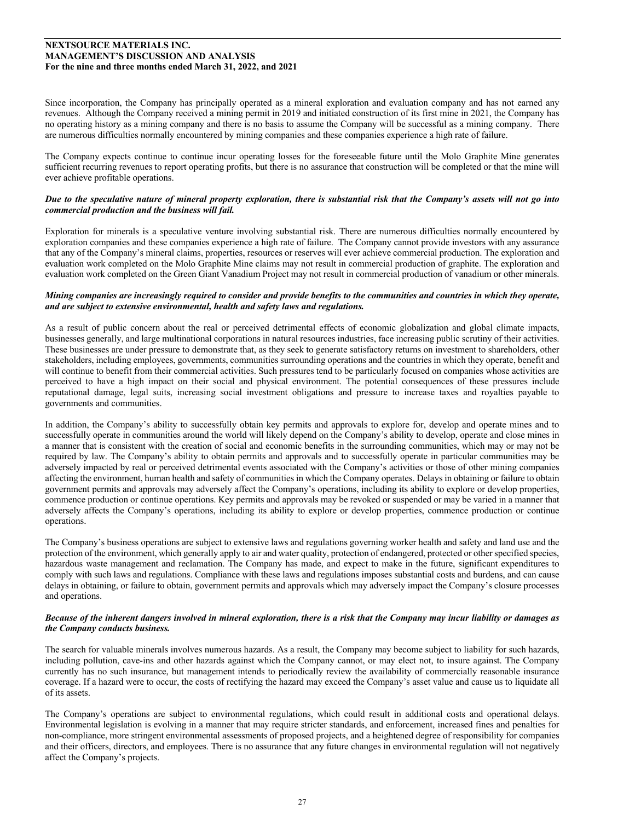Since incorporation, the Company has principally operated as a mineral exploration and evaluation company and has not earned any revenues. Although the Company received a mining permit in 2019 and initiated construction of its first mine in 2021, the Company has no operating history as a mining company and there is no basis to assume the Company will be successful as a mining company. There are numerous difficulties normally encountered by mining companies and these companies experience a high rate of failure.

The Company expects continue to continue incur operating losses for the foreseeable future until the Molo Graphite Mine generates sufficient recurring revenues to report operating profits, but there is no assurance that construction will be completed or that the mine will ever achieve profitable operations.

## *Due to the speculative nature of mineral property exploration, there is substantial risk that the Company's assets will not go into commercial production and the business will fail.*

Exploration for minerals is a speculative venture involving substantial risk. There are numerous difficulties normally encountered by exploration companies and these companies experience a high rate of failure. The Company cannot provide investors with any assurance that any of the Company's mineral claims, properties, resources or reserves will ever achieve commercial production. The exploration and evaluation work completed on the Molo Graphite Mine claims may not result in commercial production of graphite. The exploration and evaluation work completed on the Green Giant Vanadium Project may not result in commercial production of vanadium or other minerals.

# *Mining companies are increasingly required to consider and provide benefits to the communities and countries in which they operate, and are subject to extensive environmental, health and safety laws and regulations.*

As a result of public concern about the real or perceived detrimental effects of economic globalization and global climate impacts, businesses generally, and large multinational corporations in natural resources industries, face increasing public scrutiny of their activities. These businesses are under pressure to demonstrate that, as they seek to generate satisfactory returns on investment to shareholders, other stakeholders, including employees, governments, communities surrounding operations and the countries in which they operate, benefit and will continue to benefit from their commercial activities. Such pressures tend to be particularly focused on companies whose activities are perceived to have a high impact on their social and physical environment. The potential consequences of these pressures include reputational damage, legal suits, increasing social investment obligations and pressure to increase taxes and royalties payable to governments and communities.

In addition, the Company's ability to successfully obtain key permits and approvals to explore for, develop and operate mines and to successfully operate in communities around the world will likely depend on the Company's ability to develop, operate and close mines in a manner that is consistent with the creation of social and economic benefits in the surrounding communities, which may or may not be required by law. The Company's ability to obtain permits and approvals and to successfully operate in particular communities may be adversely impacted by real or perceived detrimental events associated with the Company's activities or those of other mining companies affecting the environment, human health and safety of communities in which the Company operates. Delays in obtaining or failure to obtain government permits and approvals may adversely affect the Company's operations, including its ability to explore or develop properties, commence production or continue operations. Key permits and approvals may be revoked or suspended or may be varied in a manner that adversely affects the Company's operations, including its ability to explore or develop properties, commence production or continue operations.

The Company's business operations are subject to extensive laws and regulations governing worker health and safety and land use and the protection of the environment, which generally apply to air and water quality, protection of endangered, protected or other specified species, hazardous waste management and reclamation. The Company has made, and expect to make in the future, significant expenditures to comply with such laws and regulations. Compliance with these laws and regulations imposes substantial costs and burdens, and can cause delays in obtaining, or failure to obtain, government permits and approvals which may adversely impact the Company's closure processes and operations.

#### *Because of the inherent dangers involved in mineral exploration, there is a risk that the Company may incur liability or damages as the Company conducts business.*

The search for valuable minerals involves numerous hazards. As a result, the Company may become subject to liability for such hazards, including pollution, cave-ins and other hazards against which the Company cannot, or may elect not, to insure against. The Company currently has no such insurance, but management intends to periodically review the availability of commercially reasonable insurance coverage. If a hazard were to occur, the costs of rectifying the hazard may exceed the Company's asset value and cause us to liquidate all of its assets.

The Company's operations are subject to environmental regulations, which could result in additional costs and operational delays. Environmental legislation is evolving in a manner that may require stricter standards, and enforcement, increased fines and penalties for non-compliance, more stringent environmental assessments of proposed projects, and a heightened degree of responsibility for companies and their officers, directors, and employees. There is no assurance that any future changes in environmental regulation will not negatively affect the Company's projects.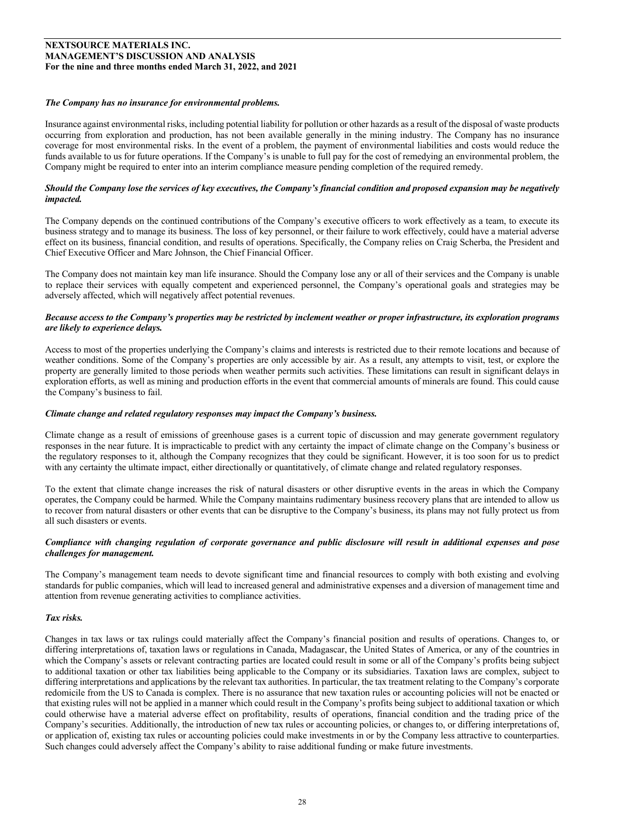## *The Company has no insurance for environmental problems.*

Insurance against environmental risks, including potential liability for pollution or other hazards as a result of the disposal of waste products occurring from exploration and production, has not been available generally in the mining industry. The Company has no insurance coverage for most environmental risks. In the event of a problem, the payment of environmental liabilities and costs would reduce the funds available to us for future operations. If the Company's is unable to full pay for the cost of remedying an environmental problem, the Company might be required to enter into an interim compliance measure pending completion of the required remedy.

## *Should the Company lose the services of key executives, the Company's financial condition and proposed expansion may be negatively impacted.*

The Company depends on the continued contributions of the Company's executive officers to work effectively as a team, to execute its business strategy and to manage its business. The loss of key personnel, or their failure to work effectively, could have a material adverse effect on its business, financial condition, and results of operations. Specifically, the Company relies on Craig Scherba, the President and Chief Executive Officer and Marc Johnson, the Chief Financial Officer.

The Company does not maintain key man life insurance. Should the Company lose any or all of their services and the Company is unable to replace their services with equally competent and experienced personnel, the Company's operational goals and strategies may be adversely affected, which will negatively affect potential revenues.

## *Because access to the Company's properties may be restricted by inclement weather or proper infrastructure, its exploration programs are likely to experience delays.*

Access to most of the properties underlying the Company's claims and interests is restricted due to their remote locations and because of weather conditions. Some of the Company's properties are only accessible by air. As a result, any attempts to visit, test, or explore the property are generally limited to those periods when weather permits such activities. These limitations can result in significant delays in exploration efforts, as well as mining and production efforts in the event that commercial amounts of minerals are found. This could cause the Company's business to fail.

## *Climate change and related regulatory responses may impact the Company's business.*

Climate change as a result of emissions of greenhouse gases is a current topic of discussion and may generate government regulatory responses in the near future. It is impracticable to predict with any certainty the impact of climate change on the Company's business or the regulatory responses to it, although the Company recognizes that they could be significant. However, it is too soon for us to predict with any certainty the ultimate impact, either directionally or quantitatively, of climate change and related regulatory responses.

To the extent that climate change increases the risk of natural disasters or other disruptive events in the areas in which the Company operates, the Company could be harmed. While the Company maintains rudimentary business recovery plans that are intended to allow us to recover from natural disasters or other events that can be disruptive to the Company's business, its plans may not fully protect us from all such disasters or events.

# *Compliance with changing regulation of corporate governance and public disclosure will result in additional expenses and pose challenges for management.*

The Company's management team needs to devote significant time and financial resources to comply with both existing and evolving standards for public companies, which will lead to increased general and administrative expenses and a diversion of management time and attention from revenue generating activities to compliance activities.

# *Tax risks.*

Changes in tax laws or tax rulings could materially affect the Company's financial position and results of operations. Changes to, or differing interpretations of, taxation laws or regulations in Canada, Madagascar, the United States of America, or any of the countries in which the Company's assets or relevant contracting parties are located could result in some or all of the Company's profits being subject to additional taxation or other tax liabilities being applicable to the Company or its subsidiaries. Taxation laws are complex, subject to differing interpretations and applications by the relevant tax authorities. In particular, the tax treatment relating to the Company's corporate redomicile from the US to Canada is complex. There is no assurance that new taxation rules or accounting policies will not be enacted or that existing rules will not be applied in a manner which could result in the Company's profits being subject to additional taxation or which could otherwise have a material adverse effect on profitability, results of operations, financial condition and the trading price of the Company's securities. Additionally, the introduction of new tax rules or accounting policies, or changes to, or differing interpretations of, or application of, existing tax rules or accounting policies could make investments in or by the Company less attractive to counterparties. Such changes could adversely affect the Company's ability to raise additional funding or make future investments.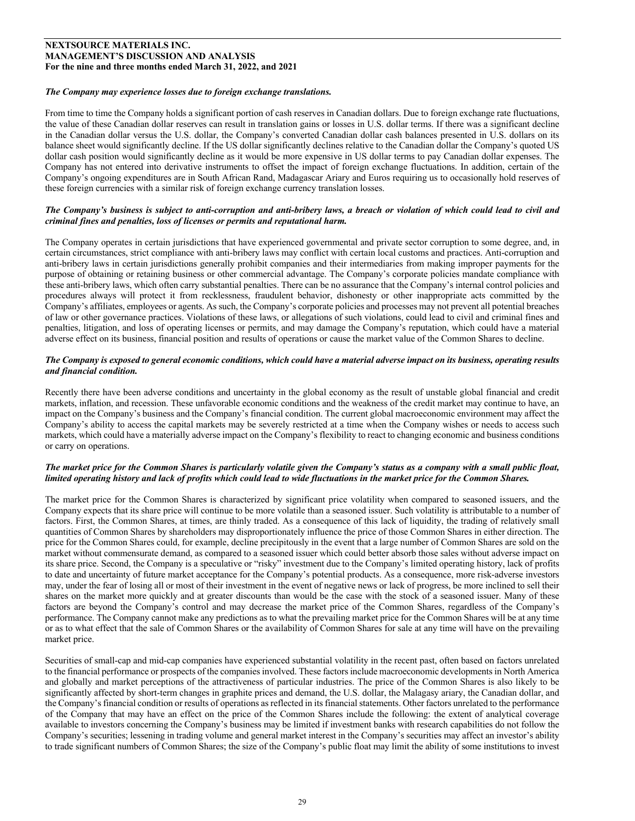## *The Company may experience losses due to foreign exchange translations.*

From time to time the Company holds a significant portion of cash reserves in Canadian dollars. Due to foreign exchange rate fluctuations, the value of these Canadian dollar reserves can result in translation gains or losses in U.S. dollar terms. If there was a significant decline in the Canadian dollar versus the U.S. dollar, the Company's converted Canadian dollar cash balances presented in U.S. dollars on its balance sheet would significantly decline. If the US dollar significantly declines relative to the Canadian dollar the Company's quoted US dollar cash position would significantly decline as it would be more expensive in US dollar terms to pay Canadian dollar expenses. The Company has not entered into derivative instruments to offset the impact of foreign exchange fluctuations. In addition, certain of the Company's ongoing expenditures are in South African Rand, Madagascar Ariary and Euros requiring us to occasionally hold reserves of these foreign currencies with a similar risk of foreign exchange currency translation losses.

## *The Company's business is subject to anti-corruption and anti-bribery laws, a breach or violation of which could lead to civil and criminal fines and penalties, loss of licenses or permits and reputational harm.*

The Company operates in certain jurisdictions that have experienced governmental and private sector corruption to some degree, and, in certain circumstances, strict compliance with anti-bribery laws may conflict with certain local customs and practices. Anti-corruption and anti-bribery laws in certain jurisdictions generally prohibit companies and their intermediaries from making improper payments for the purpose of obtaining or retaining business or other commercial advantage. The Company's corporate policies mandate compliance with these anti-bribery laws, which often carry substantial penalties. There can be no assurance that the Company's internal control policies and procedures always will protect it from recklessness, fraudulent behavior, dishonesty or other inappropriate acts committed by the Company's affiliates, employees or agents. As such, the Company's corporate policies and processes may not prevent all potential breaches of law or other governance practices. Violations of these laws, or allegations of such violations, could lead to civil and criminal fines and penalties, litigation, and loss of operating licenses or permits, and may damage the Company's reputation, which could have a material adverse effect on its business, financial position and results of operations or cause the market value of the Common Shares to decline.

# *The Company is exposed to general economic conditions, which could have a material adverse impact on its business, operating results and financial condition.*

Recently there have been adverse conditions and uncertainty in the global economy as the result of unstable global financial and credit markets, inflation, and recession. These unfavorable economic conditions and the weakness of the credit market may continue to have, an impact on the Company's business and the Company's financial condition. The current global macroeconomic environment may affect the Company's ability to access the capital markets may be severely restricted at a time when the Company wishes or needs to access such markets, which could have a materially adverse impact on the Company's flexibility to react to changing economic and business conditions or carry on operations.

## *The market price for the Common Shares is particularly volatile given the Company's status as a company with a small public float, limited operating history and lack of profits which could lead to wide fluctuations in the market price for the Common Shares.*

The market price for the Common Shares is characterized by significant price volatility when compared to seasoned issuers, and the Company expects that its share price will continue to be more volatile than a seasoned issuer. Such volatility is attributable to a number of factors. First, the Common Shares, at times, are thinly traded. As a consequence of this lack of liquidity, the trading of relatively small quantities of Common Shares by shareholders may disproportionately influence the price of those Common Shares in either direction. The price for the Common Shares could, for example, decline precipitously in the event that a large number of Common Shares are sold on the market without commensurate demand, as compared to a seasoned issuer which could better absorb those sales without adverse impact on its share price. Second, the Company is a speculative or "risky" investment due to the Company's limited operating history, lack of profits to date and uncertainty of future market acceptance for the Company's potential products. As a consequence, more risk-adverse investors may, under the fear of losing all or most of their investment in the event of negative news or lack of progress, be more inclined to sell their shares on the market more quickly and at greater discounts than would be the case with the stock of a seasoned issuer. Many of these factors are beyond the Company's control and may decrease the market price of the Common Shares, regardless of the Company's performance. The Company cannot make any predictions as to what the prevailing market price for the Common Shares will be at any time or as to what effect that the sale of Common Shares or the availability of Common Shares for sale at any time will have on the prevailing market price.

Securities of small-cap and mid-cap companies have experienced substantial volatility in the recent past, often based on factors unrelated to the financial performance or prospects of the companies involved. These factors include macroeconomic developments in North America and globally and market perceptions of the attractiveness of particular industries. The price of the Common Shares is also likely to be significantly affected by short-term changes in graphite prices and demand, the U.S. dollar, the Malagasy ariary, the Canadian dollar, and the Company'sfinancial condition or results of operations as reflected in its financial statements. Other factors unrelated to the performance of the Company that may have an effect on the price of the Common Shares include the following: the extent of analytical coverage available to investors concerning the Company's business may be limited if investment banks with research capabilities do not follow the Company's securities; lessening in trading volume and general market interest in the Company's securities may affect an investor's ability to trade significant numbers of Common Shares; the size of the Company's public float may limit the ability of some institutions to invest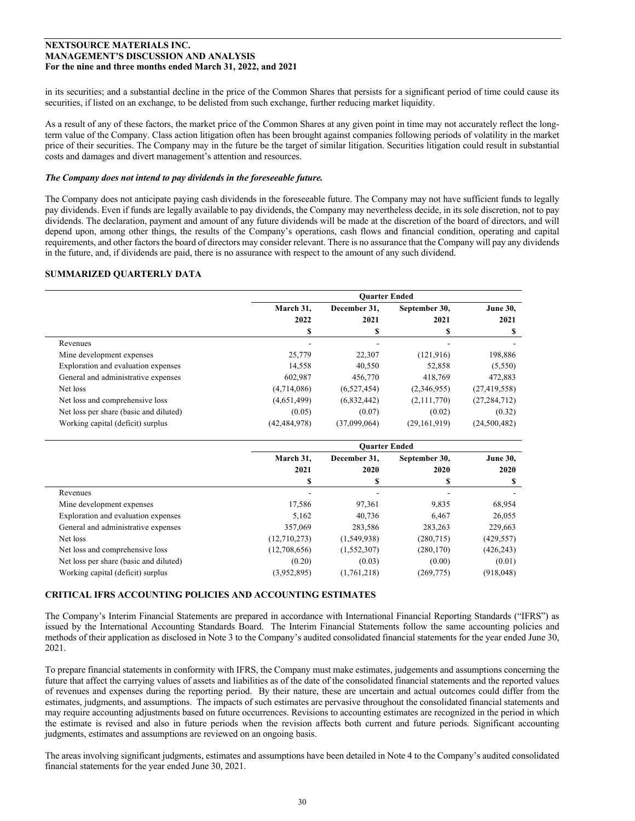in its securities; and a substantial decline in the price of the Common Shares that persists for a significant period of time could cause its securities, if listed on an exchange, to be delisted from such exchange, further reducing market liquidity.

As a result of any of these factors, the market price of the Common Shares at any given point in time may not accurately reflect the longterm value of the Company. Class action litigation often has been brought against companies following periods of volatility in the market price of their securities. The Company may in the future be the target of similar litigation. Securities litigation could result in substantial costs and damages and divert management's attention and resources.

## *The Company does not intend to pay dividends in the foreseeable future.*

The Company does not anticipate paying cash dividends in the foreseeable future. The Company may not have sufficient funds to legally pay dividends. Even if funds are legally available to pay dividends, the Company may nevertheless decide, in its sole discretion, not to pay dividends. The declaration, payment and amount of any future dividends will be made at the discretion of the board of directors, and will depend upon, among other things, the results of the Company's operations, cash flows and financial condition, operating and capital requirements, and other factors the board of directors may consider relevant. There is no assurance that the Company will pay any dividends in the future, and, if dividends are paid, there is no assurance with respect to the amount of any such dividend.

# **SUMMARIZED QUARTERLY DATA**

|                                        | <b>Ouarter Ended</b> |                      |                       |                         |  |
|----------------------------------------|----------------------|----------------------|-----------------------|-------------------------|--|
|                                        | March 31,<br>2022    | December 31.<br>2021 | September 30,<br>2021 | <b>June 30,</b><br>2021 |  |
|                                        | \$                   | \$                   | S                     | S                       |  |
| Revenues                               |                      |                      |                       |                         |  |
| Mine development expenses              | 25,779               | 22,307               | (121, 916)            | 198,886                 |  |
| Exploration and evaluation expenses    | 14,558               | 40.550               | 52,858                | (5,550)                 |  |
| General and administrative expenses    | 602.987              | 456,770              | 418,769               | 472,883                 |  |
| Net loss                               | (4,714,086)          | (6,527,454)          | (2,346,955)           | (27, 419, 558)          |  |
| Net loss and comprehensive loss        | (4,651,499)          | (6,832,442)          | (2,111,770)           | (27, 284, 712)          |  |
| Net loss per share (basic and diluted) | (0.05)               | (0.07)               | (0.02)                | (0.32)                  |  |
| Working capital (deficit) surplus      | (42, 484, 978)       | (37,099,064)         | (29,161,919)          | (24,500,482)            |  |

|                                        | <b>Ouarter Ended</b> |              |               |                 |  |
|----------------------------------------|----------------------|--------------|---------------|-----------------|--|
|                                        | March 31,            | December 31. | September 30, | <b>June 30,</b> |  |
|                                        | 2021                 | 2020         | 2020          | 2020            |  |
|                                        |                      | S            |               | S               |  |
| Revenues                               |                      |              |               |                 |  |
| Mine development expenses              | 17,586               | 97,361       | 9,835         | 68,954          |  |
| Exploration and evaluation expenses    | 5.162                | 40,736       | 6.467         | 26,055          |  |
| General and administrative expenses    | 357,069              | 283,586      | 283,263       | 229,663         |  |
| Net loss                               | (12,710,273)         | (1,549,938)  | (280,715)     | (429, 557)      |  |
| Net loss and comprehensive loss        | (12,708,656)         | (1,552,307)  | (280, 170)    | (426, 243)      |  |
| Net loss per share (basic and diluted) | (0.20)               | (0.03)       | (0.00)        | (0.01)          |  |
| Working capital (deficit) surplus      | (3,952,895)          | (1,761,218)  | (269, 775)    | (918, 048)      |  |

# **CRITICAL IFRS ACCOUNTING POLICIES AND ACCOUNTING ESTIMATES**

The Company's Interim Financial Statements are prepared in accordance with International Financial Reporting Standards ("IFRS") as issued by the International Accounting Standards Board. The Interim Financial Statements follow the same accounting policies and methods of their application as disclosed in Note 3 to the Company's audited consolidated financial statements for the year ended June 30, 2021.

To prepare financial statements in conformity with IFRS, the Company must make estimates, judgements and assumptions concerning the future that affect the carrying values of assets and liabilities as of the date of the consolidated financial statements and the reported values of revenues and expenses during the reporting period. By their nature, these are uncertain and actual outcomes could differ from the estimates, judgments, and assumptions. The impacts of such estimates are pervasive throughout the consolidated financial statements and may require accounting adjustments based on future occurrences. Revisions to accounting estimates are recognized in the period in which the estimate is revised and also in future periods when the revision affects both current and future periods. Significant accounting judgments, estimates and assumptions are reviewed on an ongoing basis.

The areas involving significant judgments, estimates and assumptions have been detailed in Note 4 to the Company's audited consolidated financial statements for the year ended June 30, 2021.